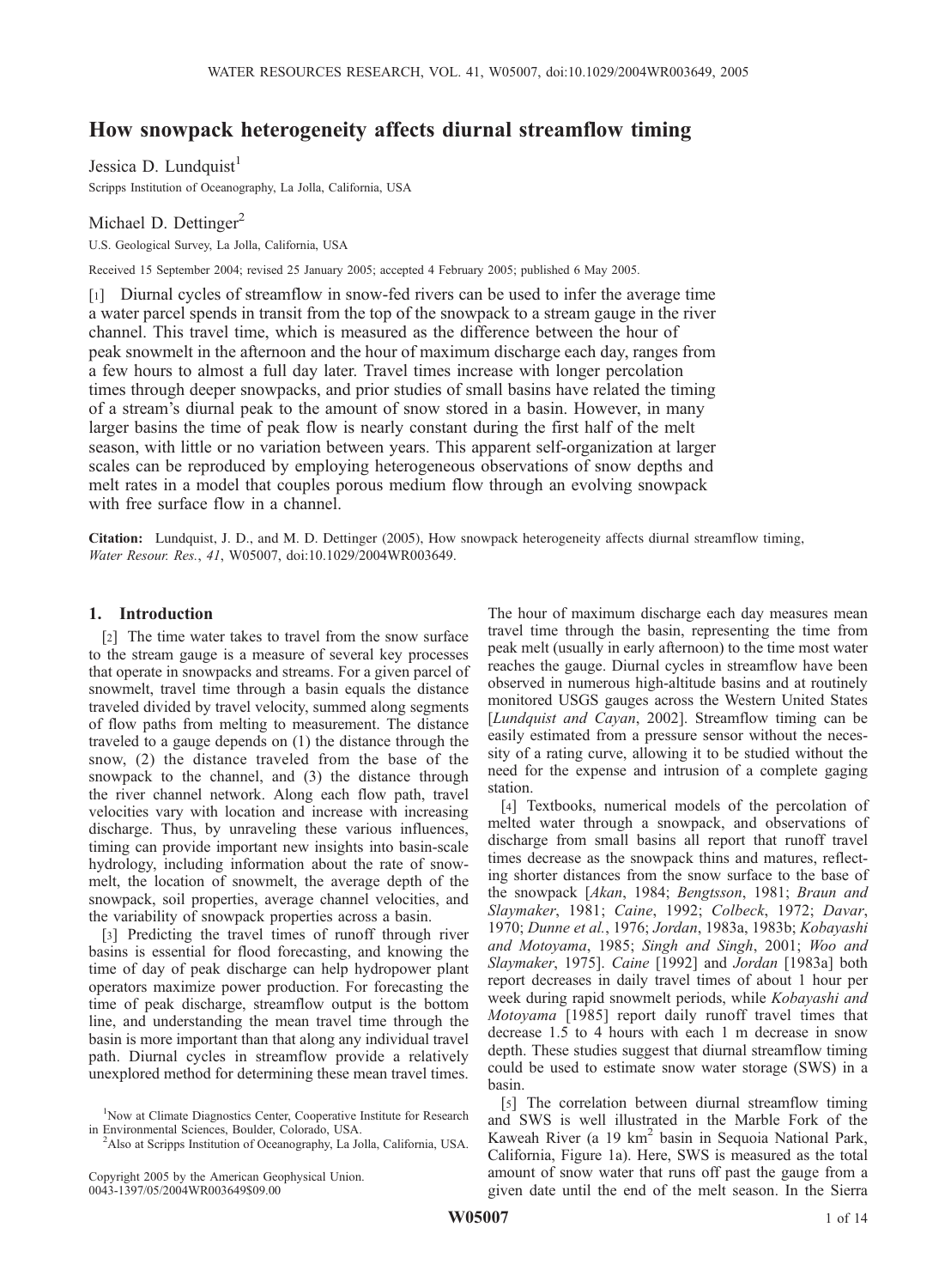# How snowpack heterogeneity affects diurnal streamflow timing

Jessica D. Lundquist<sup>1</sup>

Scripps Institution of Oceanography, La Jolla, California, USA

## Michael D. Dettinger $<sup>2</sup>$ </sup>

U.S. Geological Survey, La Jolla, California, USA

Received 15 September 2004; revised 25 January 2005; accepted 4 February 2005; published 6 May 2005.

[1] Diurnal cycles of streamflow in snow-fed rivers can be used to infer the average time a water parcel spends in transit from the top of the snowpack to a stream gauge in the river channel. This travel time, which is measured as the difference between the hour of peak snowmelt in the afternoon and the hour of maximum discharge each day, ranges from a few hours to almost a full day later. Travel times increase with longer percolation times through deeper snowpacks, and prior studies of small basins have related the timing of a stream's diurnal peak to the amount of snow stored in a basin. However, in many larger basins the time of peak flow is nearly constant during the first half of the melt season, with little or no variation between years. This apparent self-organization at larger scales can be reproduced by employing heterogeneous observations of snow depths and melt rates in a model that couples porous medium flow through an evolving snowpack with free surface flow in a channel.

Citation: Lundquist, J. D., and M. D. Dettinger (2005), How snowpack heterogeneity affects diurnal streamflow timing, Water Resour. Res., 41, W05007, doi:10.1029/2004WR003649.

## 1. Introduction

[2] The time water takes to travel from the snow surface to the stream gauge is a measure of several key processes that operate in snowpacks and streams. For a given parcel of snowmelt, travel time through a basin equals the distance traveled divided by travel velocity, summed along segments of flow paths from melting to measurement. The distance traveled to a gauge depends on (1) the distance through the snow, (2) the distance traveled from the base of the snowpack to the channel, and (3) the distance through the river channel network. Along each flow path, travel velocities vary with location and increase with increasing discharge. Thus, by unraveling these various influences, timing can provide important new insights into basin-scale hydrology, including information about the rate of snowmelt, the location of snowmelt, the average depth of the snowpack, soil properties, average channel velocities, and the variability of snowpack properties across a basin.

[3] Predicting the travel times of runoff through river basins is essential for flood forecasting, and knowing the time of day of peak discharge can help hydropower plant operators maximize power production. For forecasting the time of peak discharge, streamflow output is the bottom line, and understanding the mean travel time through the basin is more important than that along any individual travel path. Diurnal cycles in streamflow provide a relatively unexplored method for determining these mean travel times.

Copyright 2005 by the American Geophysical Union. 0043-1397/05/2004WR003649\$09.00

The hour of maximum discharge each day measures mean travel time through the basin, representing the time from peak melt (usually in early afternoon) to the time most water reaches the gauge. Diurnal cycles in streamflow have been observed in numerous high-altitude basins and at routinely monitored USGS gauges across the Western United States [Lundquist and Cayan, 2002]. Streamflow timing can be easily estimated from a pressure sensor without the necessity of a rating curve, allowing it to be studied without the need for the expense and intrusion of a complete gaging station.

[4] Textbooks, numerical models of the percolation of melted water through a snowpack, and observations of discharge from small basins all report that runoff travel times decrease as the snowpack thins and matures, reflecting shorter distances from the snow surface to the base of the snowpack [Akan, 1984; Bengtsson, 1981; Braun and Slaymaker, 1981; Caine, 1992; Colbeck, 1972; Davar, 1970; Dunne et al., 1976; Jordan, 1983a, 1983b; Kobayashi and Motoyama, 1985; Singh and Singh, 2001; Woo and Slaymaker, 1975]. Caine [1992] and Jordan [1983a] both report decreases in daily travel times of about 1 hour per week during rapid snowmelt periods, while Kobayashi and Motoyama [1985] report daily runoff travel times that decrease 1.5 to 4 hours with each 1 m decrease in snow depth. These studies suggest that diurnal streamflow timing could be used to estimate snow water storage (SWS) in a basin.

[5] The correlation between diurnal streamflow timing and SWS is well illustrated in the Marble Fork of the Kaweah River (a  $19 \text{ km}^2$  basin in Sequoia National Park, California, Figure 1a). Here, SWS is measured as the total amount of snow water that runs off past the gauge from a given date until the end of the melt season. In the Sierra

<sup>&</sup>lt;sup>1</sup>Now at Climate Diagnostics Center, Cooperative Institute for Research in Environmental Sciences, Boulder, Colorado, USA. <sup>2</sup>

Also at Scripps Institution of Oceanography, La Jolla, California, USA.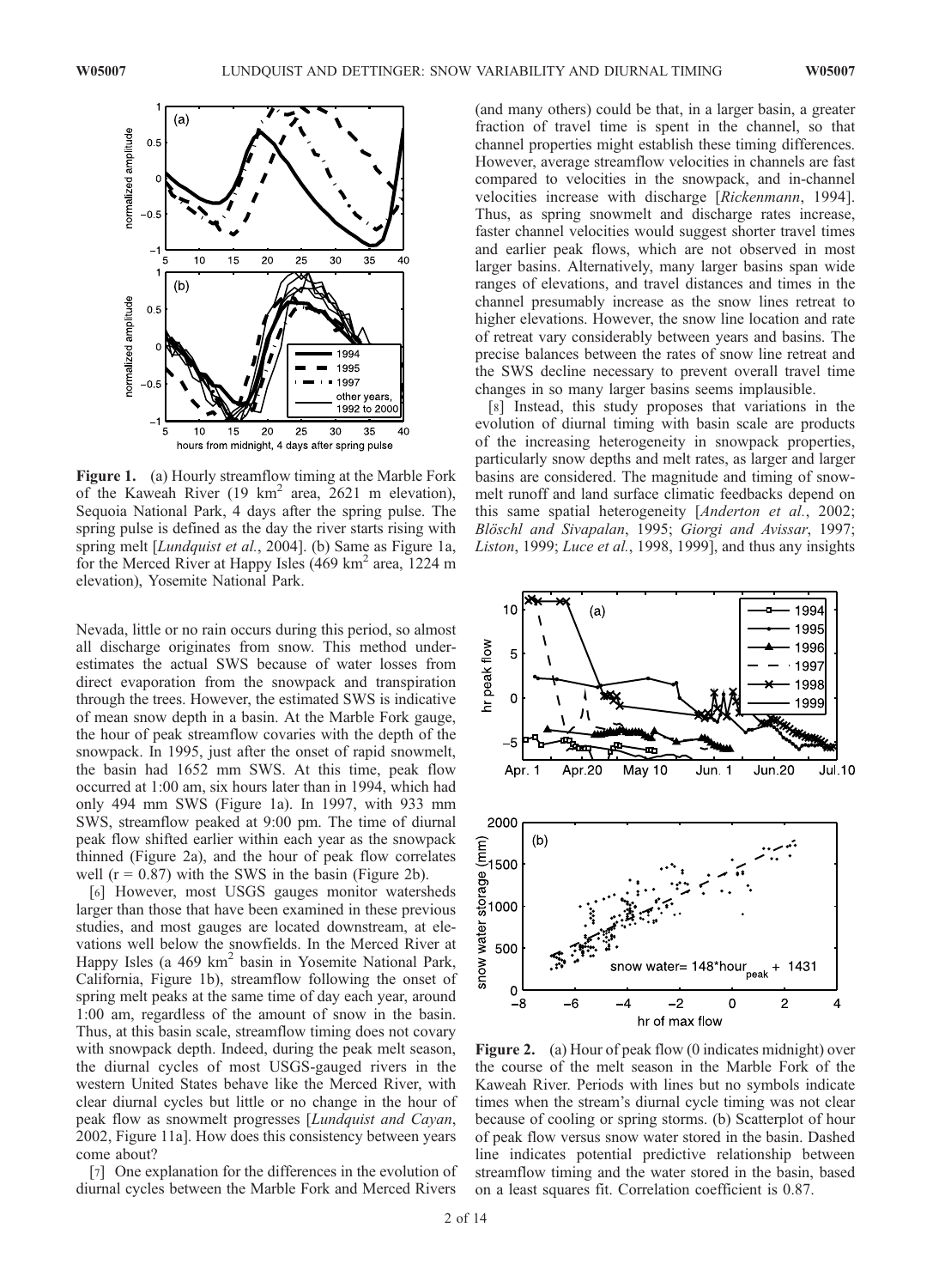

Figure 1. (a) Hourly streamflow timing at the Marble Fork of the Kaweah River (19 km<sup>2</sup> area, 2621 m elevation), Sequoia National Park, 4 days after the spring pulse. The spring pulse is defined as the day the river starts rising with spring melt [Lundquist et al., 2004]. (b) Same as Figure 1a, for the Merced River at Happy Isles  $(469 \text{ km}^2 \text{ area}, 1224 \text{ m})$ elevation), Yosemite National Park.

Nevada, little or no rain occurs during this period, so almost all discharge originates from snow. This method underestimates the actual SWS because of water losses from direct evaporation from the snowpack and transpiration through the trees. However, the estimated SWS is indicative of mean snow depth in a basin. At the Marble Fork gauge, the hour of peak streamflow covaries with the depth of the snowpack. In 1995, just after the onset of rapid snowmelt, the basin had 1652 mm SWS. At this time, peak flow occurred at 1:00 am, six hours later than in 1994, which had only 494 mm SWS (Figure 1a). In 1997, with 933 mm SWS, streamflow peaked at 9:00 pm. The time of diurnal peak flow shifted earlier within each year as the snowpack thinned (Figure 2a), and the hour of peak flow correlates well  $(r = 0.87)$  with the SWS in the basin (Figure 2b).

[6] However, most USGS gauges monitor watersheds larger than those that have been examined in these previous studies, and most gauges are located downstream, at elevations well below the snowfields. In the Merced River at Happy Isles (a  $469 \text{ km}^2$  basin in Yosemite National Park, California, Figure 1b), streamflow following the onset of spring melt peaks at the same time of day each year, around 1:00 am, regardless of the amount of snow in the basin. Thus, at this basin scale, streamflow timing does not covary with snowpack depth. Indeed, during the peak melt season, the diurnal cycles of most USGS-gauged rivers in the western United States behave like the Merced River, with clear diurnal cycles but little or no change in the hour of peak flow as snowmelt progresses [Lundquist and Cayan, 2002, Figure 11a]. How does this consistency between years come about?

[7] One explanation for the differences in the evolution of diurnal cycles between the Marble Fork and Merced Rivers (and many others) could be that, in a larger basin, a greater fraction of travel time is spent in the channel, so that channel properties might establish these timing differences. However, average streamflow velocities in channels are fast compared to velocities in the snowpack, and in-channel velocities increase with discharge [Rickenmann, 1994]. Thus, as spring snowmelt and discharge rates increase, faster channel velocities would suggest shorter travel times and earlier peak flows, which are not observed in most larger basins. Alternatively, many larger basins span wide ranges of elevations, and travel distances and times in the channel presumably increase as the snow lines retreat to higher elevations. However, the snow line location and rate of retreat vary considerably between years and basins. The precise balances between the rates of snow line retreat and the SWS decline necessary to prevent overall travel time changes in so many larger basins seems implausible.

[8] Instead, this study proposes that variations in the evolution of diurnal timing with basin scale are products of the increasing heterogeneity in snowpack properties, particularly snow depths and melt rates, as larger and larger basins are considered. The magnitude and timing of snowmelt runoff and land surface climatic feedbacks depend on this same spatial heterogeneity [Anderton et al., 2002; Blöschl and Sivapalan, 1995; Giorgi and Avissar, 1997; Liston, 1999; Luce et al., 1998, 1999], and thus any insights



Figure 2. (a) Hour of peak flow (0 indicates midnight) over the course of the melt season in the Marble Fork of the Kaweah River. Periods with lines but no symbols indicate times when the stream's diurnal cycle timing was not clear because of cooling or spring storms. (b) Scatterplot of hour of peak flow versus snow water stored in the basin. Dashed line indicates potential predictive relationship between streamflow timing and the water stored in the basin, based on a least squares fit. Correlation coefficient is 0.87.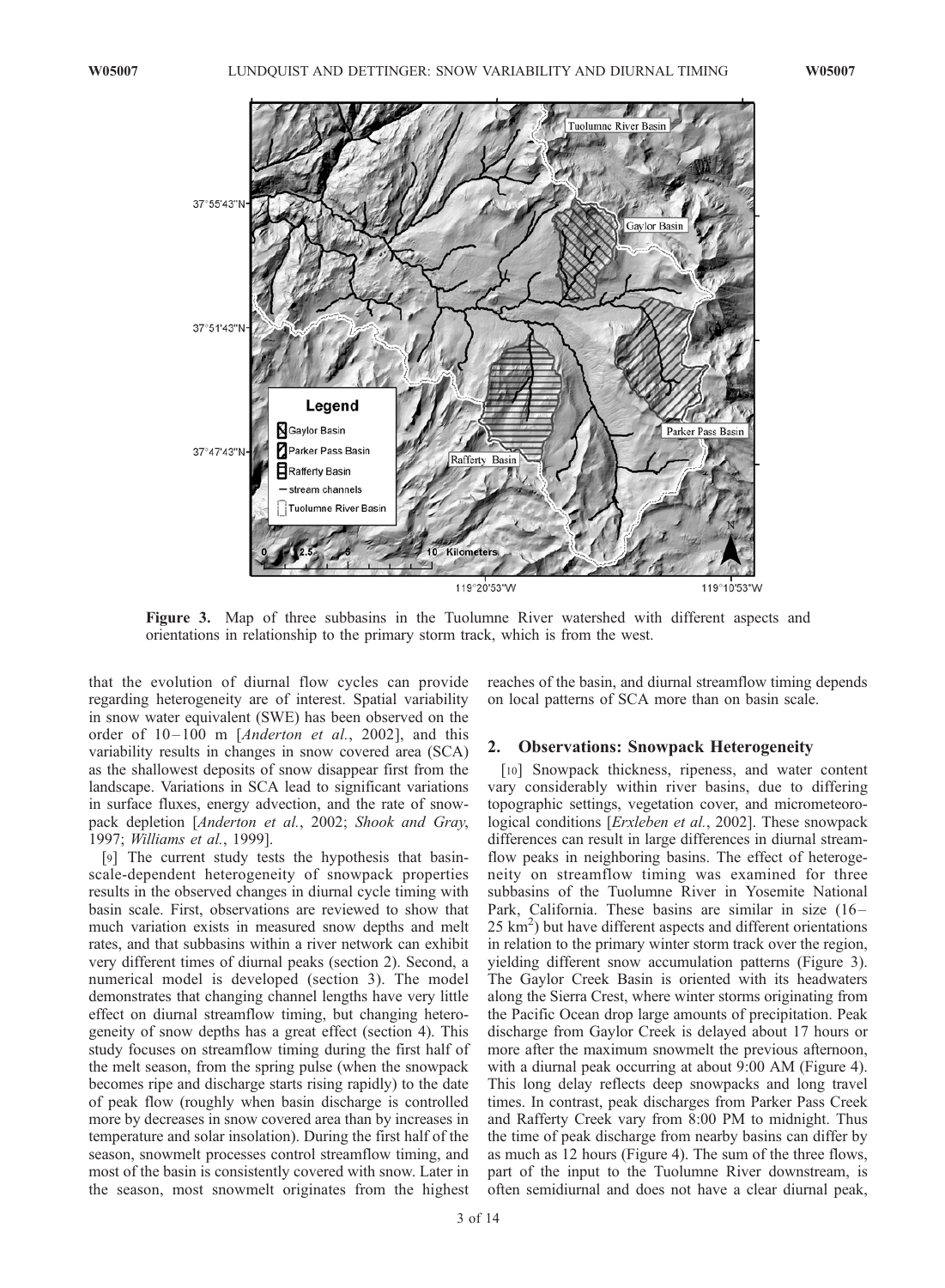

Figure 3. Map of three subbasins in the Tuolumne River watershed with different aspects and orientations in relationship to the primary storm track, which is from the west.

that the evolution of diurnal flow cycles can provide regarding heterogeneity are of interest. Spatial variability in snow water equivalent (SWE) has been observed on the order of  $10-100$  m [*Anderton et al.*, 2002], and this variability results in changes in snow covered area (SCA) as the shallowest deposits of snow disappear first from the landscape. Variations in SCA lead to significant variations in surface fluxes, energy advection, and the rate of snowpack depletion [Anderton et al., 2002; Shook and Gray, 1997; Williams et al., 1999].

[9] The current study tests the hypothesis that basinscale-dependent heterogeneity of snowpack properties results in the observed changes in diurnal cycle timing with basin scale. First, observations are reviewed to show that much variation exists in measured snow depths and melt rates, and that subbasins within a river network can exhibit very different times of diurnal peaks (section 2). Second, a numerical model is developed (section 3). The model demonstrates that changing channel lengths have very little effect on diurnal streamflow timing, but changing heterogeneity of snow depths has a great effect (section 4). This study focuses on streamflow timing during the first half of the melt season, from the spring pulse (when the snowpack becomes ripe and discharge starts rising rapidly) to the date of peak flow (roughly when basin discharge is controlled more by decreases in snow covered area than by increases in temperature and solar insolation). During the first half of the season, snowmelt processes control streamflow timing, and most of the basin is consistently covered with snow. Later in the season, most snowmelt originates from the highest reaches of the basin, and diurnal streamflow timing depends on local patterns of SCA more than on basin scale.

## 2. Observations: Snowpack Heterogeneity

[10] Snowpack thickness, ripeness, and water content vary considerably within river basins, due to differing topographic settings, vegetation cover, and micrometeorological conditions [Erxleben et al., 2002]. These snowpack differences can result in large differences in diurnal streamflow peaks in neighboring basins. The effect of heterogeneity on streamflow timing was examined for three subbasins of the Tuolumne River in Yosemite National Park, California. These basins are similar in size (16–  $25 \text{ km}^2$ ) but have different aspects and different orientations in relation to the primary winter storm track over the region, yielding different snow accumulation patterns (Figure 3). The Gaylor Creek Basin is oriented with its headwaters along the Sierra Crest, where winter storms originating from the Pacific Ocean drop large amounts of precipitation. Peak discharge from Gaylor Creek is delayed about 17 hours or more after the maximum snowmelt the previous afternoon, with a diurnal peak occurring at about 9:00 AM (Figure 4). This long delay reflects deep snowpacks and long travel times. In contrast, peak discharges from Parker Pass Creek and Rafferty Creek vary from 8:00 PM to midnight. Thus the time of peak discharge from nearby basins can differ by as much as 12 hours (Figure 4). The sum of the three flows, part of the input to the Tuolumne River downstream, is often semidiurnal and does not have a clear diurnal peak,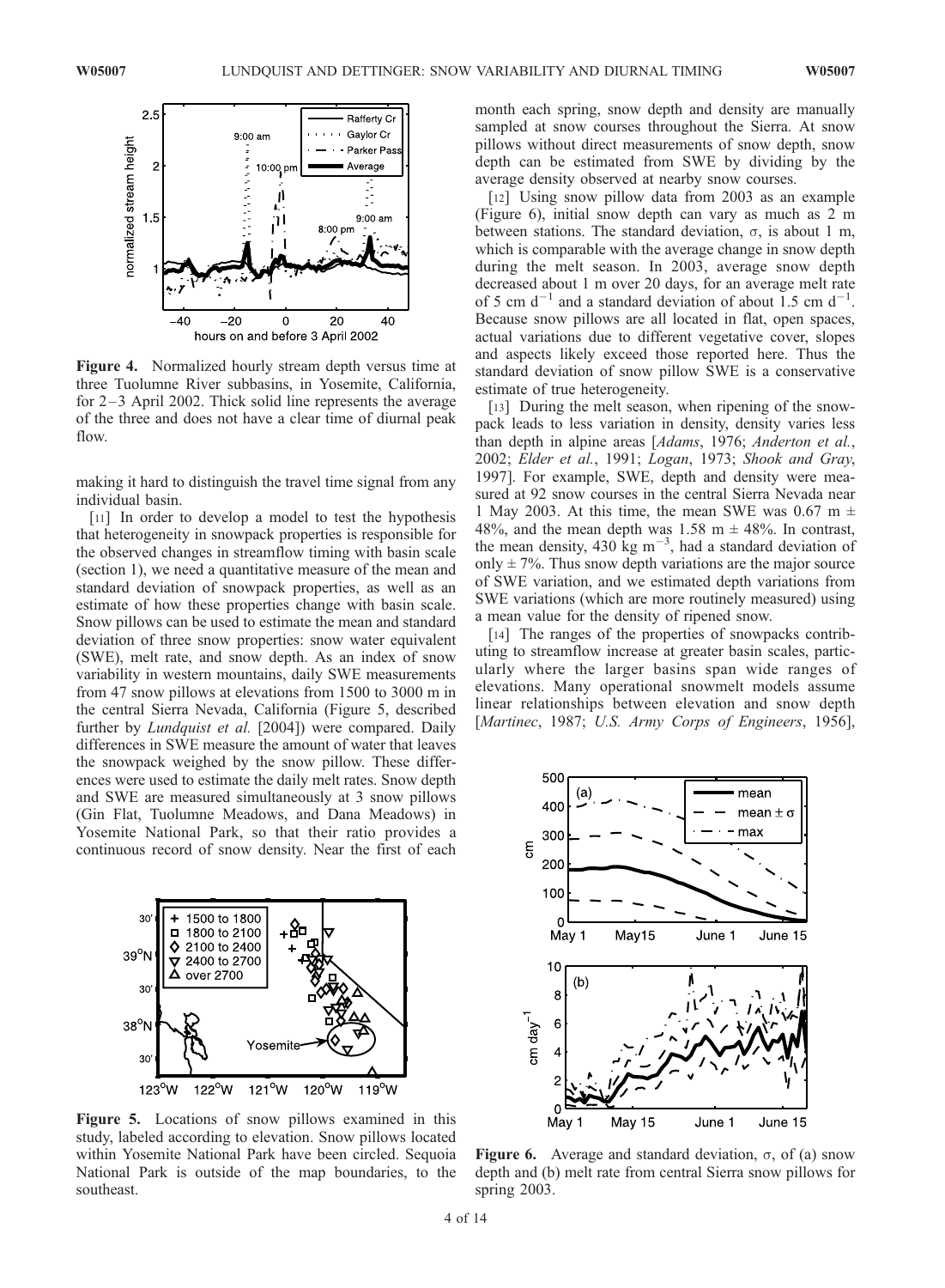

Figure 4. Normalized hourly stream depth versus time at three Tuolumne River subbasins, in Yosemite, California, for  $2-3$  April 2002. Thick solid line represents the average of the three and does not have a clear time of diurnal peak flow.

making it hard to distinguish the travel time signal from any individual basin.

[11] In order to develop a model to test the hypothesis that heterogeneity in snowpack properties is responsible for the observed changes in streamflow timing with basin scale (section 1), we need a quantitative measure of the mean and standard deviation of snowpack properties, as well as an estimate of how these properties change with basin scale. Snow pillows can be used to estimate the mean and standard deviation of three snow properties: snow water equivalent (SWE), melt rate, and snow depth. As an index of snow variability in western mountains, daily SWE measurements from 47 snow pillows at elevations from 1500 to 3000 m in the central Sierra Nevada, California (Figure 5, described further by *Lundquist et al.* [2004]) were compared. Daily differences in SWE measure the amount of water that leaves the snowpack weighed by the snow pillow. These differences were used to estimate the daily melt rates. Snow depth and SWE are measured simultaneously at 3 snow pillows (Gin Flat, Tuolumne Meadows, and Dana Meadows) in Yosemite National Park, so that their ratio provides a continuous record of snow density. Near the first of each



Figure 5. Locations of snow pillows examined in this study, labeled according to elevation. Snow pillows located within Yosemite National Park have been circled. Sequoia National Park is outside of the map boundaries, to the southeast.

month each spring, snow depth and density are manually sampled at snow courses throughout the Sierra. At snow pillows without direct measurements of snow depth, snow depth can be estimated from SWE by dividing by the average density observed at nearby snow courses.

[12] Using snow pillow data from 2003 as an example (Figure 6), initial snow depth can vary as much as 2 m between stations. The standard deviation,  $\sigma$ , is about 1 m, which is comparable with the average change in snow depth during the melt season. In 2003, average snow depth decreased about 1 m over 20 days, for an average melt rate of 5 cm  $d^{-1}$  and a standard deviation of about 1.5 cm  $d^{-1}$ . Because snow pillows are all located in flat, open spaces, actual variations due to different vegetative cover, slopes and aspects likely exceed those reported here. Thus the standard deviation of snow pillow SWE is a conservative estimate of true heterogeneity.

[13] During the melt season, when ripening of the snowpack leads to less variation in density, density varies less than depth in alpine areas [Adams, 1976; Anderton et al., 2002; Elder et al., 1991; Logan, 1973; Shook and Gray, 1997]. For example, SWE, depth and density were measured at 92 snow courses in the central Sierra Nevada near 1 May 2003. At this time, the mean SWE was 0.67 m  $\pm$ 48%, and the mean depth was 1.58 m  $\pm$  48%. In contrast, the mean density, 430 kg m<sup>-3</sup>, had a standard deviation of only  $\pm$  7%. Thus snow depth variations are the major source of SWE variation, and we estimated depth variations from SWE variations (which are more routinely measured) using a mean value for the density of ripened snow.

[14] The ranges of the properties of snowpacks contributing to streamflow increase at greater basin scales, particularly where the larger basins span wide ranges of elevations. Many operational snowmelt models assume linear relationships between elevation and snow depth [Martinec, 1987; U.S. Army Corps of Engineers, 1956],



Figure 6. Average and standard deviation,  $\sigma$ , of (a) snow depth and (b) melt rate from central Sierra snow pillows for spring 2003.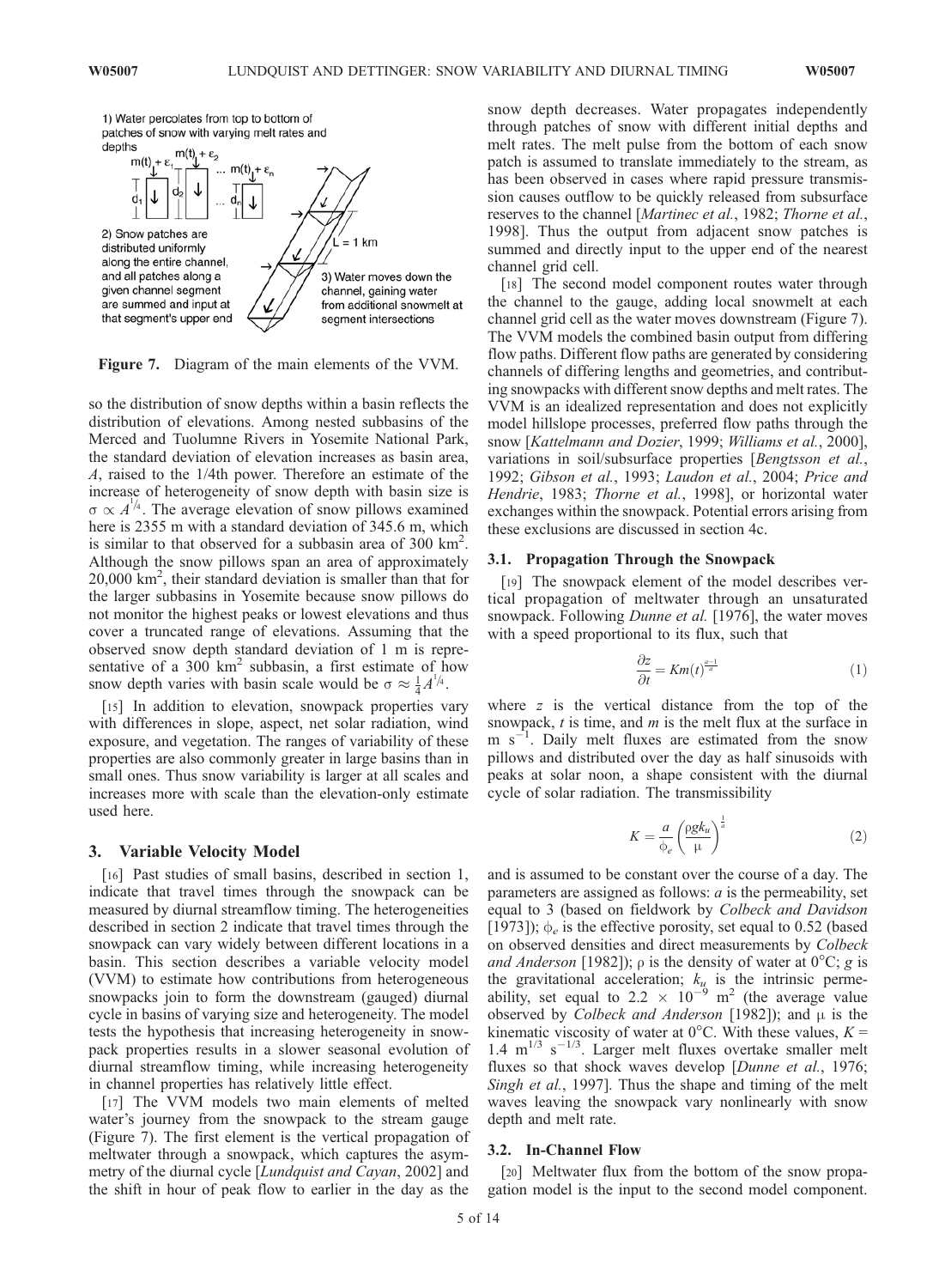

Figure 7. Diagram of the main elements of the VVM.

so the distribution of snow depths within a basin reflects the distribution of elevations. Among nested subbasins of the Merced and Tuolumne Rivers in Yosemite National Park, the standard deviation of elevation increases as basin area, A, raised to the 1/4th power. Therefore an estimate of the increase of heterogeneity of snow depth with basin size is  $\sigma \propto A^{1/4}$ . The average elevation of snow pillows examined here is 2355 m with a standard deviation of 345.6 m, which is similar to that observed for a subbasin area of  $300 \text{ km}^2$ . Although the snow pillows span an area of approximately 20,000 km<sup>2</sup>, their standard deviation is smaller than that for the larger subbasins in Yosemite because snow pillows do not monitor the highest peaks or lowest elevations and thus cover a truncated range of elevations. Assuming that the observed snow depth standard deviation of 1 m is representative of a 300  $km^2$  subbasin, a first estimate of how snow depth varies with basin scale would be  $\sigma \approx \frac{1}{4} A^{1/4}$ .

[15] In addition to elevation, snowpack properties vary with differences in slope, aspect, net solar radiation, wind exposure, and vegetation. The ranges of variability of these properties are also commonly greater in large basins than in small ones. Thus snow variability is larger at all scales and increases more with scale than the elevation-only estimate used here.

#### 3. Variable Velocity Model

[16] Past studies of small basins, described in section 1, indicate that travel times through the snowpack can be measured by diurnal streamflow timing. The heterogeneities described in section 2 indicate that travel times through the snowpack can vary widely between different locations in a basin. This section describes a variable velocity model (VVM) to estimate how contributions from heterogeneous snowpacks join to form the downstream (gauged) diurnal cycle in basins of varying size and heterogeneity. The model tests the hypothesis that increasing heterogeneity in snowpack properties results in a slower seasonal evolution of diurnal streamflow timing, while increasing heterogeneity in channel properties has relatively little effect.

[17] The VVM models two main elements of melted water's journey from the snowpack to the stream gauge (Figure 7). The first element is the vertical propagation of meltwater through a snowpack, which captures the asymmetry of the diurnal cycle [Lundquist and Cayan, 2002] and the shift in hour of peak flow to earlier in the day as the

snow depth decreases. Water propagates independently through patches of snow with different initial depths and melt rates. The melt pulse from the bottom of each snow patch is assumed to translate immediately to the stream, as has been observed in cases where rapid pressure transmission causes outflow to be quickly released from subsurface reserves to the channel [Martinec et al., 1982; Thorne et al., 1998]. Thus the output from adjacent snow patches is summed and directly input to the upper end of the nearest channel grid cell.

[18] The second model component routes water through the channel to the gauge, adding local snowmelt at each channel grid cell as the water moves downstream (Figure 7). The VVM models the combined basin output from differing flow paths. Different flow paths are generated by considering channels of differing lengths and geometries, and contributing snowpacks with different snow depths and melt rates. The VVM is an idealized representation and does not explicitly model hillslope processes, preferred flow paths through the snow [Kattelmann and Dozier, 1999; Williams et al., 2000], variations in soil/subsurface properties [Bengtsson et al., 1992; Gibson et al., 1993; Laudon et al., 2004; Price and Hendrie, 1983; Thorne et al., 1998], or horizontal water exchanges within the snowpack. Potential errors arising from these exclusions are discussed in section 4c.

#### 3.1. Propagation Through the Snowpack

[19] The snowpack element of the model describes vertical propagation of meltwater through an unsaturated snowpack. Following *Dunne et al.* [1976], the water moves with a speed proportional to its flux, such that

$$
\frac{\partial z}{\partial t} = Km(t)^{\frac{a-1}{a}} \tag{1}
$$

where  $z$  is the vertical distance from the top of the snowpack,  $t$  is time, and  $m$  is the melt flux at the surface in  $m s^{-1}$ . Daily melt fluxes are estimated from the snow pillows and distributed over the day as half sinusoids with peaks at solar noon, a shape consistent with the diurnal cycle of solar radiation. The transmissibility

$$
K = \frac{a}{\phi_e} \left(\frac{\rho g k_u}{\mu}\right)^{\frac{1}{a}} \tag{2}
$$

and is assumed to be constant over the course of a day. The parameters are assigned as follows:  $a$  is the permeability, set equal to 3 (based on fieldwork by Colbeck and Davidson [1973]);  $\phi_e$  is the effective porosity, set equal to 0.52 (based on observed densities and direct measurements by Colbeck and Anderson [1982]);  $\rho$  is the density of water at  $0^{\circ}C$ ; g is the gravitational acceleration;  $k_{\mu}$  is the intrinsic permeability, set equal to 2.2  $\times$  10<sup>-5</sup> m<sup>2</sup> (the average value observed by Colbeck and Anderson [1982]); and  $\mu$  is the kinematic viscosity of water at  $0^{\circ}$ C. With these values,  $K =$ 1.4  $m^{1/3}$  s<sup>-1/3</sup>. Larger melt fluxes overtake smaller melt fluxes so that shock waves develop [*Dunne et al.*, 1976; Singh et al., 1997]. Thus the shape and timing of the melt waves leaving the snowpack vary nonlinearly with snow depth and melt rate.

#### 3.2. In-Channel Flow

[20] Meltwater flux from the bottom of the snow propagation model is the input to the second model component.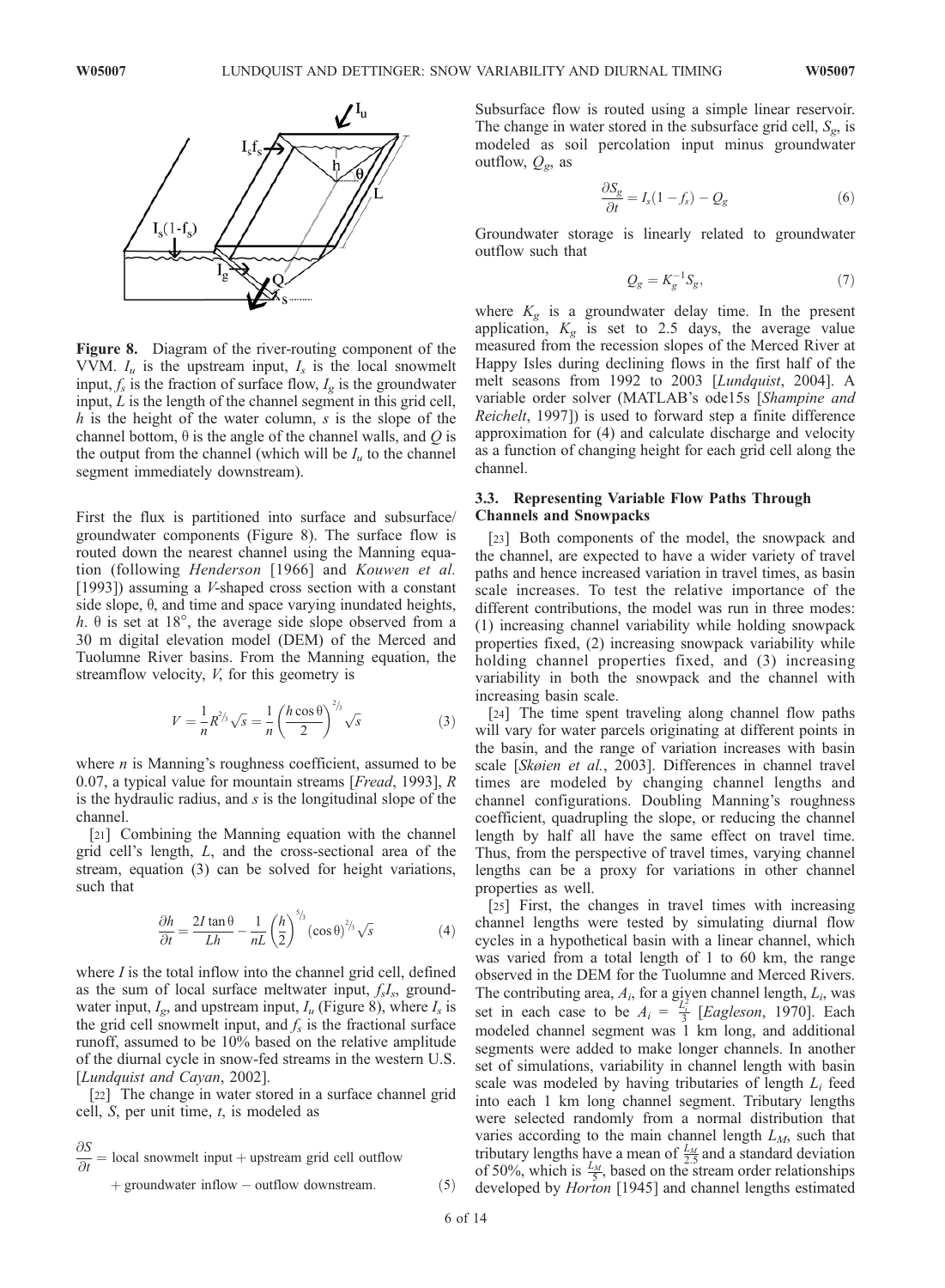

Figure 8. Diagram of the river-routing component of the VVM.  $I_u$  is the upstream input,  $I_s$  is the local snowmelt input,  $f_s$  is the fraction of surface flow,  $I_g$  is the groundwater input,  $L$  is the length of the channel segment in this grid cell,  $h$  is the height of the water column,  $s$  is the slope of the channel bottom,  $\theta$  is the angle of the channel walls, and Q is the output from the channel (which will be  $I_u$  to the channel segment immediately downstream).

First the flux is partitioned into surface and subsurface/ groundwater components (Figure 8). The surface flow is routed down the nearest channel using the Manning equation (following Henderson [1966] and Kouwen et al. [1993]) assuming a *V*-shaped cross section with a constant side slope,  $\theta$ , and time and space varying inundated heights, h.  $\theta$  is set at 18°, the average side slope observed from a 30 m digital elevation model (DEM) of the Merced and Tuolumne River basins. From the Manning equation, the streamflow velocity, V, for this geometry is

$$
V = \frac{1}{n} R^{2/3} \sqrt{s} = \frac{1}{n} \left( \frac{h \cos \theta}{2} \right)^{2/3} \sqrt{s}
$$
 (3)

where  $n$  is Manning's roughness coefficient, assumed to be 0.07, a typical value for mountain streams [Fread, 1993], R is the hydraulic radius, and s is the longitudinal slope of the channel.

[21] Combining the Manning equation with the channel grid cell's length, L, and the cross-sectional area of the stream, equation (3) can be solved for height variations, such that

$$
\frac{\partial h}{\partial t} = \frac{2I \tan \theta}{Lh} - \frac{1}{nL} \left(\frac{h}{2}\right)^{5/5} (\cos \theta)^{2/5} \sqrt{s}
$$
(4)

where  $I$  is the total inflow into the channel grid cell, defined as the sum of local surface meltwater input,  $f_sI_s$ , groundwater input,  $I_g$ , and upstream input,  $I_u$  (Figure 8), where  $I_s$  is the grid cell snowmelt input, and  $f_s$  is the fractional surface runoff, assumed to be 10% based on the relative amplitude of the diurnal cycle in snow-fed streams in the western U.S. [Lundquist and Cayan, 2002].

[22] The change in water stored in a surface channel grid cell,  $S$ , per unit time,  $t$ , is modeled as

 $\frac{\partial S}{\partial t}$  = local snowmelt input + upstream grid cell outflow

 $+$  groundwater inflow  $-$  outflow downstream.  $(5)$ 

Subsurface flow is routed using a simple linear reservoir. The change in water stored in the subsurface grid cell,  $S_{\varrho}$ , is modeled as soil percolation input minus groundwater outflow,  $Q_g$ , as

$$
\frac{\partial S_g}{\partial t} = I_s (1 - f_s) - Q_g \tag{6}
$$

Groundwater storage is linearly related to groundwater outflow such that

$$
Q_g = K_g^{-1} S_g,\tag{7}
$$

where  $K_g$  is a groundwater delay time. In the present application,  $K_g$  is set to 2.5 days, the average value measured from the recession slopes of the Merced River at Happy Isles during declining flows in the first half of the melt seasons from 1992 to 2003 [Lundquist, 2004]. A variable order solver (MATLAB's ode15s [Shampine and Reichelt, 1997]) is used to forward step a finite difference approximation for (4) and calculate discharge and velocity as a function of changing height for each grid cell along the channel.

## 3.3. Representing Variable Flow Paths Through Channels and Snowpacks

[23] Both components of the model, the snowpack and the channel, are expected to have a wider variety of travel paths and hence increased variation in travel times, as basin scale increases. To test the relative importance of the different contributions, the model was run in three modes: (1) increasing channel variability while holding snowpack properties fixed, (2) increasing snowpack variability while holding channel properties fixed, and (3) increasing variability in both the snowpack and the channel with increasing basin scale.

[24] The time spent traveling along channel flow paths will vary for water parcels originating at different points in the basin, and the range of variation increases with basin scale [Skøien et al., 2003]. Differences in channel travel times are modeled by changing channel lengths and channel configurations. Doubling Manning's roughness coefficient, quadrupling the slope, or reducing the channel length by half all have the same effect on travel time. Thus, from the perspective of travel times, varying channel lengths can be a proxy for variations in other channel properties as well.

[25] First, the changes in travel times with increasing channel lengths were tested by simulating diurnal flow cycles in a hypothetical basin with a linear channel, which was varied from a total length of 1 to 60 km, the range observed in the DEM for the Tuolumne and Merced Rivers. The contributing area,  $A_i$ , for a given channel length,  $L_i$ , was set in each case to be  $A_i = \frac{L_i^2}{3}$  [*Eagleson*, 1970]. Each modeled channel segment was 1 km long, and additional segments were added to make longer channels. In another set of simulations, variability in channel length with basin scale was modeled by having tributaries of length  $L_i$  feed into each 1 km long channel segment. Tributary lengths were selected randomly from a normal distribution that varies according to the main channel length  $L_M$ , such that tributary lengths have a mean of  $\frac{L_M}{2.5}$  and a standard deviation of 50%, which is  $\frac{L_M}{5}$ , based on the stream order relationships developed by Horton [1945] and channel lengths estimated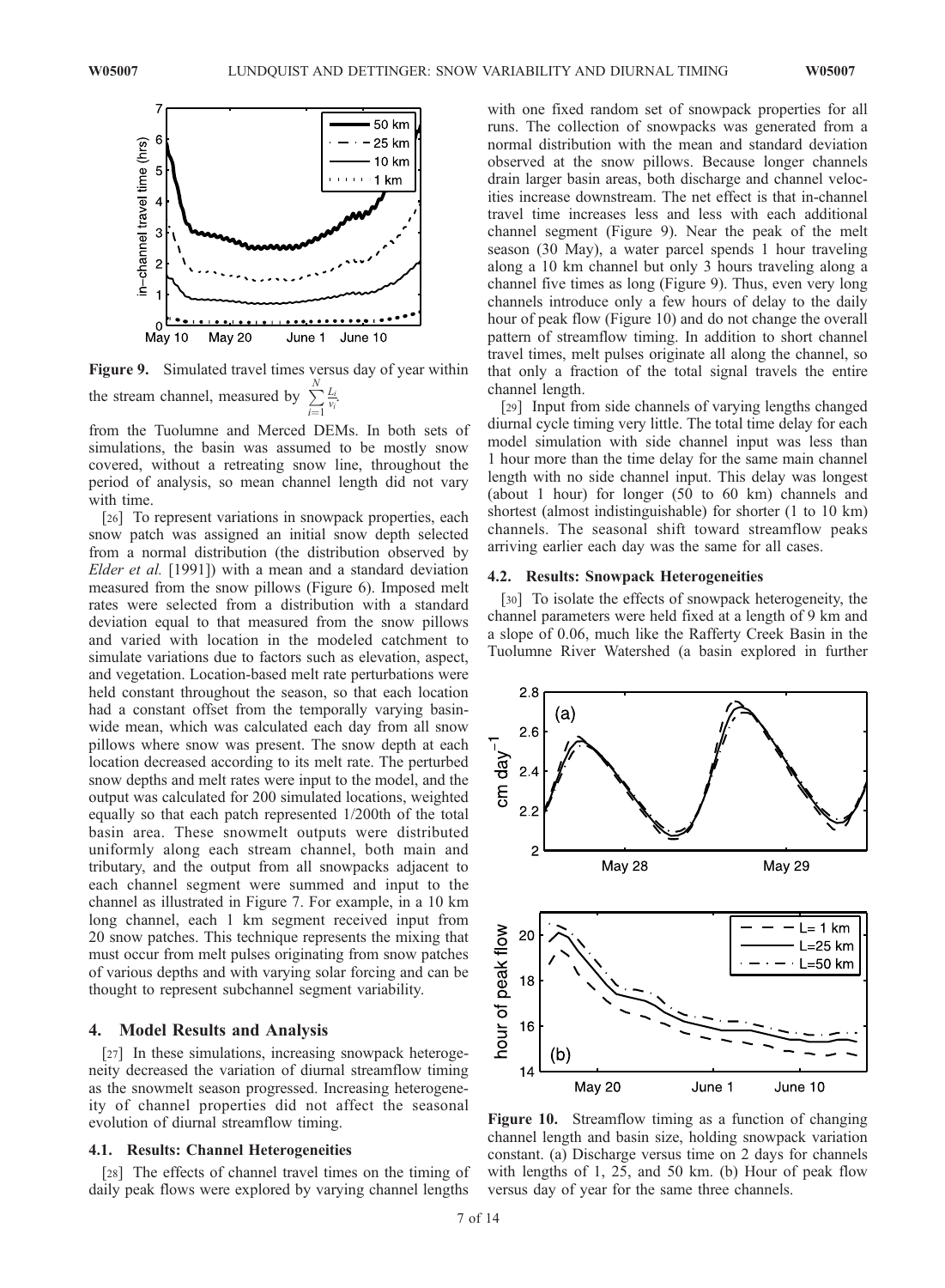

Figure 9. Simulated travel times versus day of year within the stream channel, measured by N  $\left\lvert i=1\right\rvert$ Li vi .

from the Tuolumne and Merced DEMs. In both sets of simulations, the basin was assumed to be mostly snow covered, without a retreating snow line, throughout the period of analysis, so mean channel length did not vary with time.

[26] To represent variations in snowpack properties, each snow patch was assigned an initial snow depth selected from a normal distribution (the distribution observed by Elder et al. [1991]) with a mean and a standard deviation measured from the snow pillows (Figure 6). Imposed melt rates were selected from a distribution with a standard deviation equal to that measured from the snow pillows and varied with location in the modeled catchment to simulate variations due to factors such as elevation, aspect, and vegetation. Location-based melt rate perturbations were held constant throughout the season, so that each location had a constant offset from the temporally varying basinwide mean, which was calculated each day from all snow pillows where snow was present. The snow depth at each location decreased according to its melt rate. The perturbed snow depths and melt rates were input to the model, and the output was calculated for 200 simulated locations, weighted equally so that each patch represented 1/200th of the total basin area. These snowmelt outputs were distributed uniformly along each stream channel, both main and tributary, and the output from all snowpacks adjacent to each channel segment were summed and input to the channel as illustrated in Figure 7. For example, in a 10 km long channel, each 1 km segment received input from 20 snow patches. This technique represents the mixing that must occur from melt pulses originating from snow patches of various depths and with varying solar forcing and can be thought to represent subchannel segment variability.

## 4. Model Results and Analysis

[27] In these simulations, increasing snowpack heterogeneity decreased the variation of diurnal streamflow timing as the snowmelt season progressed. Increasing heterogeneity of channel properties did not affect the seasonal evolution of diurnal streamflow timing.

#### 4.1. Results: Channel Heterogeneities

[28] The effects of channel travel times on the timing of daily peak flows were explored by varying channel lengths

with one fixed random set of snowpack properties for all runs. The collection of snowpacks was generated from a normal distribution with the mean and standard deviation observed at the snow pillows. Because longer channels drain larger basin areas, both discharge and channel velocities increase downstream. The net effect is that in-channel travel time increases less and less with each additional channel segment (Figure 9). Near the peak of the melt season (30 May), a water parcel spends 1 hour traveling along a 10 km channel but only 3 hours traveling along a channel five times as long (Figure 9). Thus, even very long channels introduce only a few hours of delay to the daily hour of peak flow (Figure 10) and do not change the overall pattern of streamflow timing. In addition to short channel travel times, melt pulses originate all along the channel, so that only a fraction of the total signal travels the entire channel length.

[29] Input from side channels of varying lengths changed diurnal cycle timing very little. The total time delay for each model simulation with side channel input was less than 1 hour more than the time delay for the same main channel length with no side channel input. This delay was longest (about 1 hour) for longer (50 to 60 km) channels and shortest (almost indistinguishable) for shorter (1 to 10 km) channels. The seasonal shift toward streamflow peaks arriving earlier each day was the same for all cases.

## 4.2. Results: Snowpack Heterogeneities

[30] To isolate the effects of snowpack heterogeneity, the channel parameters were held fixed at a length of 9 km and a slope of 0.06, much like the Rafferty Creek Basin in the Tuolumne River Watershed (a basin explored in further



Figure 10. Streamflow timing as a function of changing channel length and basin size, holding snowpack variation constant. (a) Discharge versus time on 2 days for channels with lengths of 1, 25, and 50 km. (b) Hour of peak flow versus day of year for the same three channels.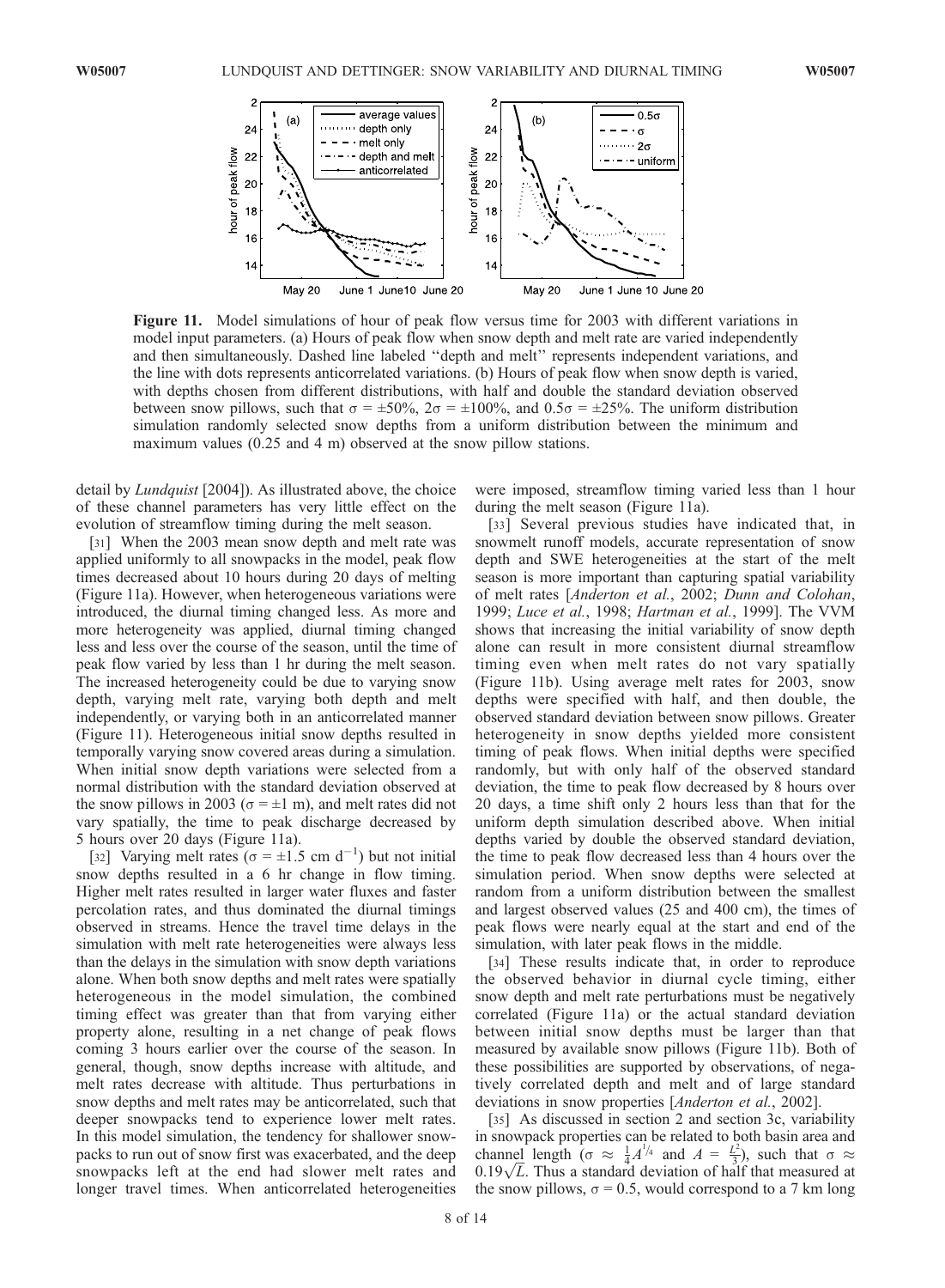

Figure 11. Model simulations of hour of peak flow versus time for 2003 with different variations in model input parameters. (a) Hours of peak flow when snow depth and melt rate are varied independently and then simultaneously. Dashed line labeled ''depth and melt'' represents independent variations, and the line with dots represents anticorrelated variations. (b) Hours of peak flow when snow depth is varied, with depths chosen from different distributions, with half and double the standard deviation observed between snow pillows, such that  $\sigma = \pm 50\%$ ,  $2\sigma = \pm 100\%$ , and  $0.5\sigma = \pm 25\%$ . The uniform distribution simulation randomly selected snow depths from a uniform distribution between the minimum and maximum values (0.25 and 4 m) observed at the snow pillow stations.

detail by *Lundquist* [2004]). As illustrated above, the choice of these channel parameters has very little effect on the evolution of streamflow timing during the melt season.

[31] When the 2003 mean snow depth and melt rate was applied uniformly to all snowpacks in the model, peak flow times decreased about 10 hours during 20 days of melting (Figure 11a). However, when heterogeneous variations were introduced, the diurnal timing changed less. As more and more heterogeneity was applied, diurnal timing changed less and less over the course of the season, until the time of peak flow varied by less than 1 hr during the melt season. The increased heterogeneity could be due to varying snow depth, varying melt rate, varying both depth and melt independently, or varying both in an anticorrelated manner (Figure 11). Heterogeneous initial snow depths resulted in temporally varying snow covered areas during a simulation. When initial snow depth variations were selected from a normal distribution with the standard deviation observed at the snow pillows in 2003 ( $\sigma = \pm 1$  m), and melt rates did not vary spatially, the time to peak discharge decreased by 5 hours over 20 days (Figure 11a).

[32] Varying melt rates ( $\sigma = \pm 1.5$  cm d<sup>-1</sup>) but not initial snow depths resulted in a 6 hr change in flow timing. Higher melt rates resulted in larger water fluxes and faster percolation rates, and thus dominated the diurnal timings observed in streams. Hence the travel time delays in the simulation with melt rate heterogeneities were always less than the delays in the simulation with snow depth variations alone. When both snow depths and melt rates were spatially heterogeneous in the model simulation, the combined timing effect was greater than that from varying either property alone, resulting in a net change of peak flows coming 3 hours earlier over the course of the season. In general, though, snow depths increase with altitude, and melt rates decrease with altitude. Thus perturbations in snow depths and melt rates may be anticorrelated, such that deeper snowpacks tend to experience lower melt rates. In this model simulation, the tendency for shallower snowpacks to run out of snow first was exacerbated, and the deep snowpacks left at the end had slower melt rates and longer travel times. When anticorrelated heterogeneities were imposed, streamflow timing varied less than 1 hour during the melt season (Figure 11a).

[33] Several previous studies have indicated that, in snowmelt runoff models, accurate representation of snow depth and SWE heterogeneities at the start of the melt season is more important than capturing spatial variability of melt rates [Anderton et al., 2002; Dunn and Colohan, 1999; Luce et al., 1998; Hartman et al., 1999]. The VVM shows that increasing the initial variability of snow depth alone can result in more consistent diurnal streamflow timing even when melt rates do not vary spatially (Figure 11b). Using average melt rates for 2003, snow depths were specified with half, and then double, the observed standard deviation between snow pillows. Greater heterogeneity in snow depths yielded more consistent timing of peak flows. When initial depths were specified randomly, but with only half of the observed standard deviation, the time to peak flow decreased by 8 hours over 20 days, a time shift only 2 hours less than that for the uniform depth simulation described above. When initial depths varied by double the observed standard deviation, the time to peak flow decreased less than 4 hours over the simulation period. When snow depths were selected at random from a uniform distribution between the smallest and largest observed values (25 and 400 cm), the times of peak flows were nearly equal at the start and end of the simulation, with later peak flows in the middle.

[34] These results indicate that, in order to reproduce the observed behavior in diurnal cycle timing, either snow depth and melt rate perturbations must be negatively correlated (Figure 11a) or the actual standard deviation between initial snow depths must be larger than that measured by available snow pillows (Figure 11b). Both of these possibilities are supported by observations, of negatively correlated depth and melt and of large standard deviations in snow properties [Anderton et al., 2002].

[35] As discussed in section 2 and section 3c, variability in snowpack properties can be related to both basin area and channel length  $(\sigma \approx \frac{1}{4}A^{1/4}$  and  $A = \frac{L^2}{3}$ , such that  $\sigma \approx$ channel length ( $\sigma \approx \frac{1}{4}A^{\prime4}$  and  $A = \frac{1}{3}$ ), such that  $\sigma \approx 0.19\sqrt{L}$ . Thus a standard deviation of half that measured at the snow pillows,  $\sigma = 0.5$ , would correspond to a 7 km long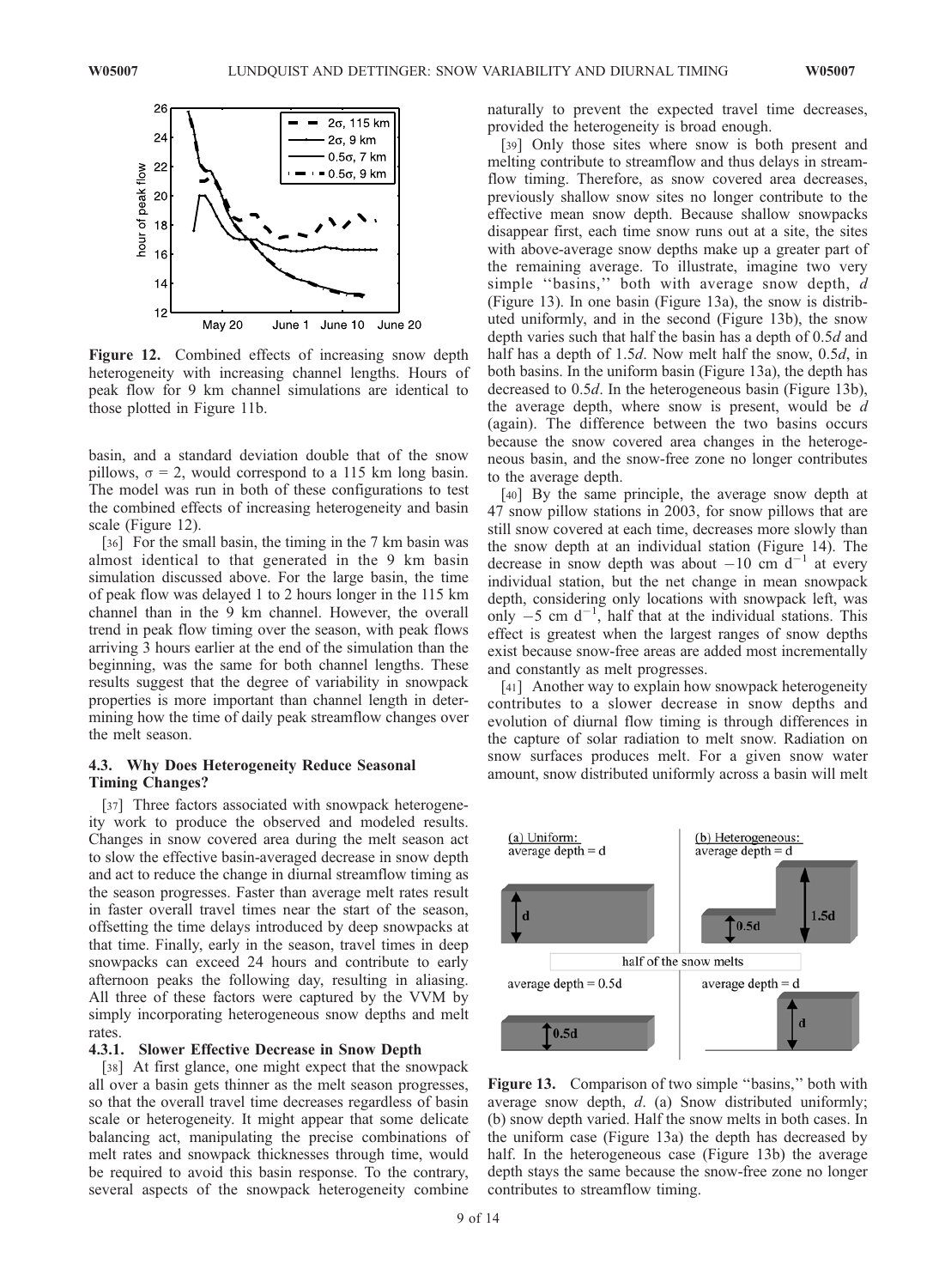

Figure 12. Combined effects of increasing snow depth heterogeneity with increasing channel lengths. Hours of peak flow for 9 km channel simulations are identical to those plotted in Figure 11b.

basin, and a standard deviation double that of the snow pillows,  $\sigma = 2$ , would correspond to a 115 km long basin. The model was run in both of these configurations to test the combined effects of increasing heterogeneity and basin scale (Figure 12).

[36] For the small basin, the timing in the 7 km basin was almost identical to that generated in the 9 km basin simulation discussed above. For the large basin, the time of peak flow was delayed 1 to 2 hours longer in the 115 km channel than in the 9 km channel. However, the overall trend in peak flow timing over the season, with peak flows arriving 3 hours earlier at the end of the simulation than the beginning, was the same for both channel lengths. These results suggest that the degree of variability in snowpack properties is more important than channel length in determining how the time of daily peak streamflow changes over the melt season.

## 4.3. Why Does Heterogeneity Reduce Seasonal Timing Changes?

[37] Three factors associated with snowpack heterogeneity work to produce the observed and modeled results. Changes in snow covered area during the melt season act to slow the effective basin-averaged decrease in snow depth and act to reduce the change in diurnal streamflow timing as the season progresses. Faster than average melt rates result in faster overall travel times near the start of the season, offsetting the time delays introduced by deep snowpacks at that time. Finally, early in the season, travel times in deep snowpacks can exceed 24 hours and contribute to early afternoon peaks the following day, resulting in aliasing. All three of these factors were captured by the VVM by simply incorporating heterogeneous snow depths and melt rates.

## 4.3.1. Slower Effective Decrease in Snow Depth

[38] At first glance, one might expect that the snowpack all over a basin gets thinner as the melt season progresses, so that the overall travel time decreases regardless of basin scale or heterogeneity. It might appear that some delicate balancing act, manipulating the precise combinations of melt rates and snowpack thicknesses through time, would be required to avoid this basin response. To the contrary, several aspects of the snowpack heterogeneity combine

naturally to prevent the expected travel time decreases, provided the heterogeneity is broad enough.

[39] Only those sites where snow is both present and melting contribute to streamflow and thus delays in streamflow timing. Therefore, as snow covered area decreases, previously shallow snow sites no longer contribute to the effective mean snow depth. Because shallow snowpacks disappear first, each time snow runs out at a site, the sites with above-average snow depths make up a greater part of the remaining average. To illustrate, imagine two very simple "basins," both with average snow depth,  $d$ (Figure 13). In one basin (Figure 13a), the snow is distributed uniformly, and in the second (Figure 13b), the snow depth varies such that half the basin has a depth of 0.5d and half has a depth of 1.5d. Now melt half the snow, 0.5d, in both basins. In the uniform basin (Figure 13a), the depth has decreased to 0.5d. In the heterogeneous basin (Figure 13b), the average depth, where snow is present, would be  $d$ (again). The difference between the two basins occurs because the snow covered area changes in the heterogeneous basin, and the snow-free zone no longer contributes to the average depth.

[40] By the same principle, the average snow depth at 47 snow pillow stations in 2003, for snow pillows that are still snow covered at each time, decreases more slowly than the snow depth at an individual station (Figure 14). The decrease in snow depth was about  $-10$  cm d<sup>-1</sup> at every individual station, but the net change in mean snowpack depth, considering only locations with snowpack left, was only  $-5$  cm  $d^{-1}$ , half that at the individual stations. This effect is greatest when the largest ranges of snow depths exist because snow-free areas are added most incrementally and constantly as melt progresses.

[41] Another way to explain how snowpack heterogeneity contributes to a slower decrease in snow depths and evolution of diurnal flow timing is through differences in the capture of solar radiation to melt snow. Radiation on snow surfaces produces melt. For a given snow water amount, snow distributed uniformly across a basin will melt



Figure 13. Comparison of two simple "basins," both with average snow depth, d. (a) Snow distributed uniformly; (b) snow depth varied. Half the snow melts in both cases. In the uniform case (Figure 13a) the depth has decreased by half. In the heterogeneous case (Figure 13b) the average depth stays the same because the snow-free zone no longer contributes to streamflow timing.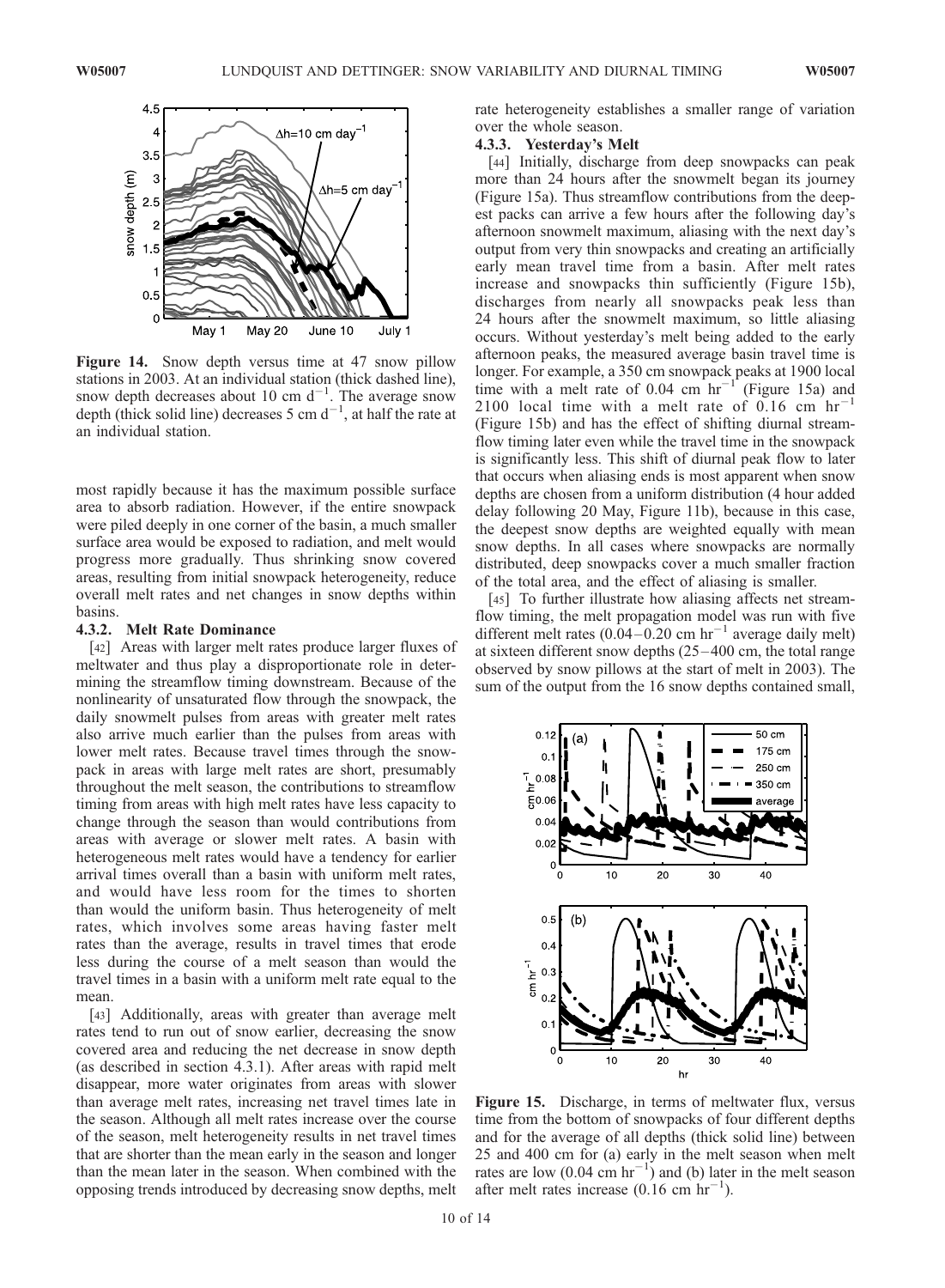

Figure 14. Snow depth versus time at 47 snow pillow stations in 2003. At an individual station (thick dashed line), snow depth decreases about 10 cm  $d^{-1}$ . The average snow depth (thick solid line) decreases 5 cm  $d^{-1}$ , at half the rate at an individual station.

most rapidly because it has the maximum possible surface area to absorb radiation. However, if the entire snowpack were piled deeply in one corner of the basin, a much smaller surface area would be exposed to radiation, and melt would progress more gradually. Thus shrinking snow covered areas, resulting from initial snowpack heterogeneity, reduce overall melt rates and net changes in snow depths within basins.

#### 4.3.2. Melt Rate Dominance

[42] Areas with larger melt rates produce larger fluxes of meltwater and thus play a disproportionate role in determining the streamflow timing downstream. Because of the nonlinearity of unsaturated flow through the snowpack, the daily snowmelt pulses from areas with greater melt rates also arrive much earlier than the pulses from areas with lower melt rates. Because travel times through the snowpack in areas with large melt rates are short, presumably throughout the melt season, the contributions to streamflow timing from areas with high melt rates have less capacity to change through the season than would contributions from areas with average or slower melt rates. A basin with heterogeneous melt rates would have a tendency for earlier arrival times overall than a basin with uniform melt rates, and would have less room for the times to shorten than would the uniform basin. Thus heterogeneity of melt rates, which involves some areas having faster melt rates than the average, results in travel times that erode less during the course of a melt season than would the travel times in a basin with a uniform melt rate equal to the mean.

[43] Additionally, areas with greater than average melt rates tend to run out of snow earlier, decreasing the snow covered area and reducing the net decrease in snow depth (as described in section 4.3.1). After areas with rapid melt disappear, more water originates from areas with slower than average melt rates, increasing net travel times late in the season. Although all melt rates increase over the course of the season, melt heterogeneity results in net travel times that are shorter than the mean early in the season and longer than the mean later in the season. When combined with the opposing trends introduced by decreasing snow depths, melt rate heterogeneity establishes a smaller range of variation over the whole season.

## 4.3.3. Yesterday's Melt

[44] Initially, discharge from deep snowpacks can peak more than 24 hours after the snowmelt began its journey (Figure 15a). Thus streamflow contributions from the deepest packs can arrive a few hours after the following day's afternoon snowmelt maximum, aliasing with the next day's output from very thin snowpacks and creating an artificially early mean travel time from a basin. After melt rates increase and snowpacks thin sufficiently (Figure 15b), discharges from nearly all snowpacks peak less than 24 hours after the snowmelt maximum, so little aliasing occurs. Without yesterday's melt being added to the early afternoon peaks, the measured average basin travel time is longer. For example, a 350 cm snowpack peaks at 1900 local time with a melt rate of 0.04 cm  $hr^{-1}$  (Figure 15a) and 2100 local time with a melt rate of 0.16 cm  $hr^{-1}$ (Figure 15b) and has the effect of shifting diurnal streamflow timing later even while the travel time in the snowpack is significantly less. This shift of diurnal peak flow to later that occurs when aliasing ends is most apparent when snow depths are chosen from a uniform distribution (4 hour added delay following 20 May, Figure 11b), because in this case, the deepest snow depths are weighted equally with mean snow depths. In all cases where snowpacks are normally distributed, deep snowpacks cover a much smaller fraction of the total area, and the effect of aliasing is smaller.

[45] To further illustrate how aliasing affects net streamflow timing, the melt propagation model was run with five different melt rates  $(0.04 - 0.20 \text{ cm hr}^{-1}$  average daily melt) at sixteen different snow depths (25 – 400 cm, the total range observed by snow pillows at the start of melt in 2003). The sum of the output from the 16 snow depths contained small,



Figure 15. Discharge, in terms of meltwater flux, versus time from the bottom of snowpacks of four different depths and for the average of all depths (thick solid line) between 25 and 400 cm for (a) early in the melt season when melt rates are low  $(0.04 \text{ cm}^2 \text{ hr}^{-1})$  and (b) later in the melt season after melt rates increase  $(0.16 \text{ cm hr}^{-1})$ .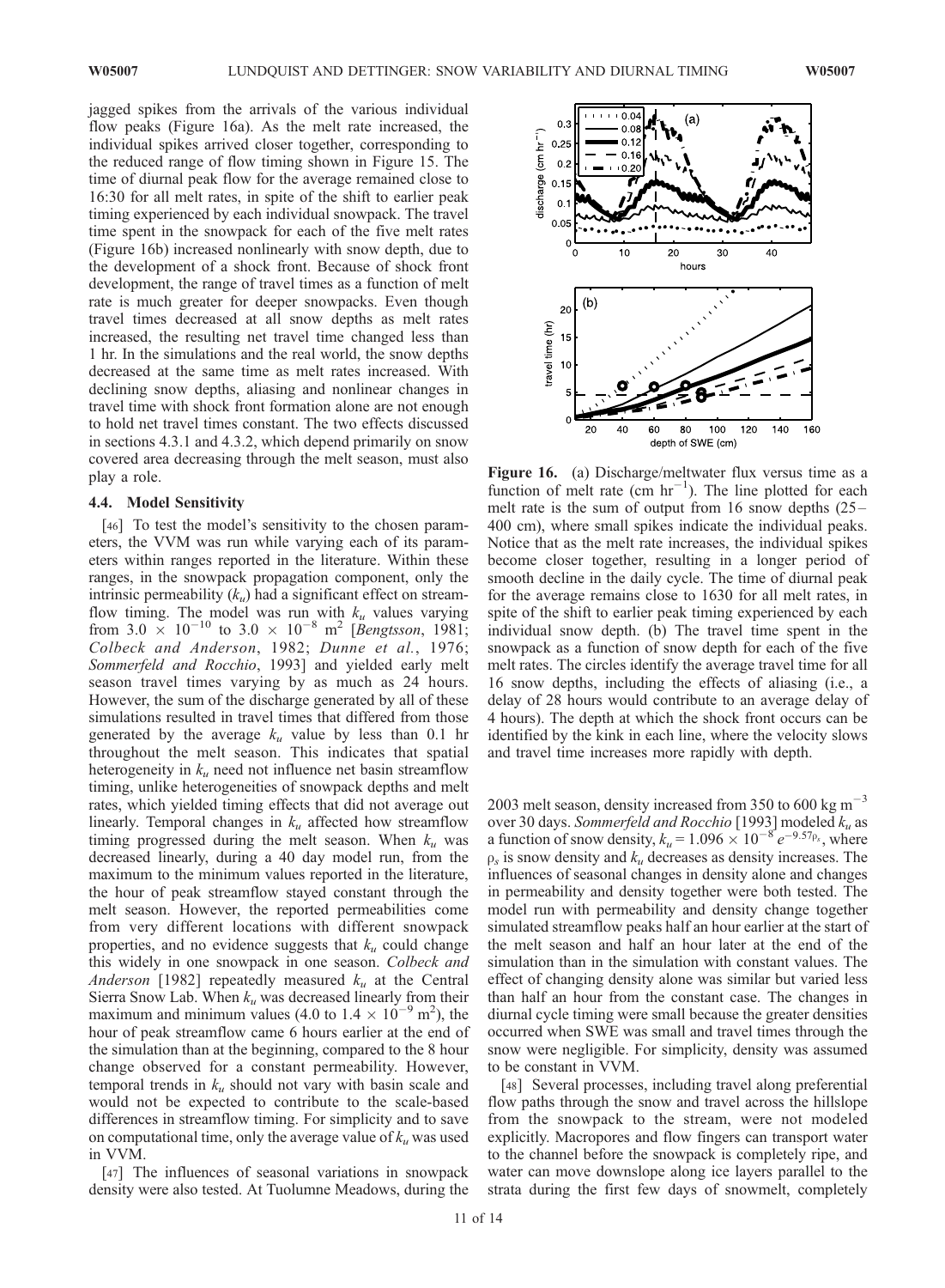jagged spikes from the arrivals of the various individual flow peaks (Figure 16a). As the melt rate increased, the individual spikes arrived closer together, corresponding to the reduced range of flow timing shown in Figure 15. The time of diurnal peak flow for the average remained close to 16:30 for all melt rates, in spite of the shift to earlier peak timing experienced by each individual snowpack. The travel time spent in the snowpack for each of the five melt rates (Figure 16b) increased nonlinearly with snow depth, due to the development of a shock front. Because of shock front development, the range of travel times as a function of melt rate is much greater for deeper snowpacks. Even though travel times decreased at all snow depths as melt rates increased, the resulting net travel time changed less than 1 hr. In the simulations and the real world, the snow depths decreased at the same time as melt rates increased. With declining snow depths, aliasing and nonlinear changes in travel time with shock front formation alone are not enough to hold net travel times constant. The two effects discussed in sections 4.3.1 and 4.3.2, which depend primarily on snow covered area decreasing through the melt season, must also play a role.

## 4.4. Model Sensitivity

[46] To test the model's sensitivity to the chosen parameters, the VVM was run while varying each of its parameters within ranges reported in the literature. Within these ranges, in the snowpack propagation component, only the intrinsic permeability  $(k_u)$  had a significant effect on streamflow timing. The model was run with  $k_u$  values varying from 3.0  $\times$  10<sup>-10</sup> to 3.0  $\times$  10<sup>-8</sup> m<sup>2</sup> [Bengtsson, 1981; Colbeck and Anderson, 1982; Dunne et al., 1976; Sommerfeld and Rocchio, 1993] and yielded early melt season travel times varying by as much as 24 hours. However, the sum of the discharge generated by all of these simulations resulted in travel times that differed from those generated by the average  $k_u$  value by less than 0.1 hr throughout the melt season. This indicates that spatial heterogeneity in  $k_u$  need not influence net basin streamflow timing, unlike heterogeneities of snowpack depths and melt rates, which yielded timing effects that did not average out linearly. Temporal changes in  $k_u$  affected how streamflow timing progressed during the melt season. When  $k_u$  was decreased linearly, during a 40 day model run, from the maximum to the minimum values reported in the literature, the hour of peak streamflow stayed constant through the melt season. However, the reported permeabilities come from very different locations with different snowpack properties, and no evidence suggests that  $k<sub>u</sub>$  could change this widely in one snowpack in one season. Colbeck and Anderson [1982] repeatedly measured  $k_u$  at the Central Sierra Snow Lab. When  $k_u$  was decreased linearly from their maximum and minimum values (4.0 to  $1.4 \times 10^{-9}$  m<sup>2</sup>), the hour of peak streamflow came 6 hours earlier at the end of the simulation than at the beginning, compared to the 8 hour change observed for a constant permeability. However, temporal trends in  $k_u$  should not vary with basin scale and would not be expected to contribute to the scale-based differences in streamflow timing. For simplicity and to save on computational time, only the average value of  $k_u$  was used in VVM.

[47] The influences of seasonal variations in snowpack density were also tested. At Tuolumne Meadows, during the



Figure 16. (a) Discharge/meltwater flux versus time as a function of melt rate (cm  $hr^{-1}$ ). The line plotted for each melt rate is the sum of output from 16 snow depths  $(25 -$ 400 cm), where small spikes indicate the individual peaks. Notice that as the melt rate increases, the individual spikes become closer together, resulting in a longer period of smooth decline in the daily cycle. The time of diurnal peak for the average remains close to 1630 for all melt rates, in spite of the shift to earlier peak timing experienced by each individual snow depth. (b) The travel time spent in the snowpack as a function of snow depth for each of the five melt rates. The circles identify the average travel time for all 16 snow depths, including the effects of aliasing (i.e., a delay of 28 hours would contribute to an average delay of 4 hours). The depth at which the shock front occurs can be identified by the kink in each line, where the velocity slows and travel time increases more rapidly with depth.

2003 melt season, density increased from 350 to 600 kg  $m^{-3}$ over 30 days. Sommerfeld and Rocchio [1993] modeled  $k_u$  as a function of snow density,  $k_u = 1.096 \times 10^{-8} e^{-9.57\rho_s}$ , where  $\rho_s$  is snow density and  $k_u$  decreases as density increases. The influences of seasonal changes in density alone and changes in permeability and density together were both tested. The model run with permeability and density change together simulated streamflow peaks half an hour earlier at the start of the melt season and half an hour later at the end of the simulation than in the simulation with constant values. The effect of changing density alone was similar but varied less than half an hour from the constant case. The changes in diurnal cycle timing were small because the greater densities occurred when SWE was small and travel times through the snow were negligible. For simplicity, density was assumed to be constant in VVM.

[48] Several processes, including travel along preferential flow paths through the snow and travel across the hillslope from the snowpack to the stream, were not modeled explicitly. Macropores and flow fingers can transport water to the channel before the snowpack is completely ripe, and water can move downslope along ice layers parallel to the strata during the first few days of snowmelt, completely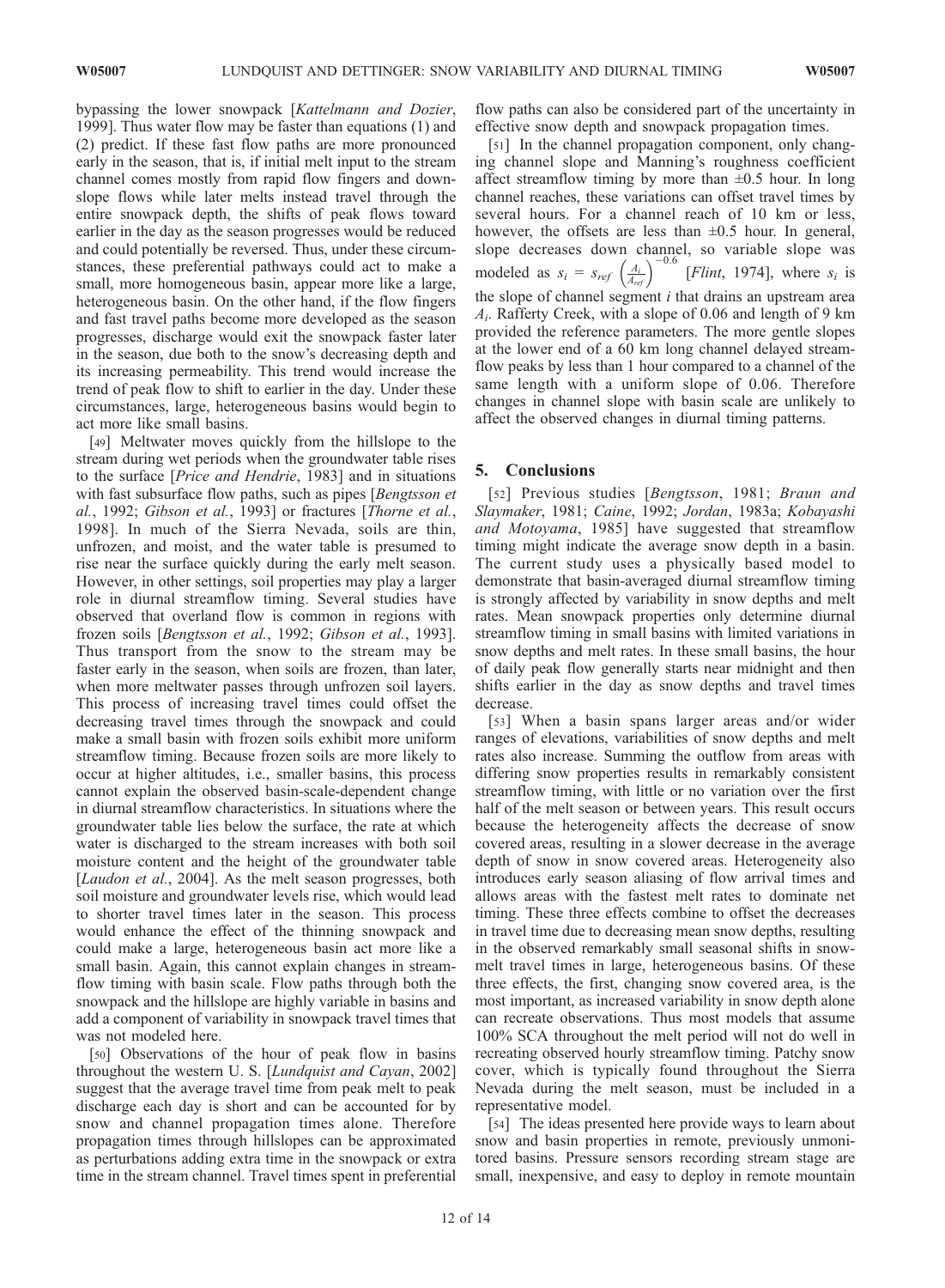bypassing the lower snowpack [Kattelmann and Dozier, 1999]. Thus water flow may be faster than equations (1) and (2) predict. If these fast flow paths are more pronounced early in the season, that is, if initial melt input to the stream channel comes mostly from rapid flow fingers and downslope flows while later melts instead travel through the entire snowpack depth, the shifts of peak flows toward earlier in the day as the season progresses would be reduced and could potentially be reversed. Thus, under these circumstances, these preferential pathways could act to make a small, more homogeneous basin, appear more like a large, heterogeneous basin. On the other hand, if the flow fingers and fast travel paths become more developed as the season progresses, discharge would exit the snowpack faster later in the season, due both to the snow's decreasing depth and its increasing permeability. This trend would increase the trend of peak flow to shift to earlier in the day. Under these circumstances, large, heterogeneous basins would begin to act more like small basins.

[49] Meltwater moves quickly from the hillslope to the stream during wet periods when the groundwater table rises to the surface [Price and Hendrie, 1983] and in situations with fast subsurface flow paths, such as pipes [Bengtsson et al., 1992; Gibson et al., 1993] or fractures [Thorne et al., 1998]. In much of the Sierra Nevada, soils are thin, unfrozen, and moist, and the water table is presumed to rise near the surface quickly during the early melt season. However, in other settings, soil properties may play a larger role in diurnal streamflow timing. Several studies have observed that overland flow is common in regions with frozen soils [Bengtsson et al., 1992; Gibson et al., 1993]. Thus transport from the snow to the stream may be faster early in the season, when soils are frozen, than later, when more meltwater passes through unfrozen soil layers. This process of increasing travel times could offset the decreasing travel times through the snowpack and could make a small basin with frozen soils exhibit more uniform streamflow timing. Because frozen soils are more likely to occur at higher altitudes, i.e., smaller basins, this process cannot explain the observed basin-scale-dependent change in diurnal streamflow characteristics. In situations where the groundwater table lies below the surface, the rate at which water is discharged to the stream increases with both soil moisture content and the height of the groundwater table [*Laudon et al.*, 2004]. As the melt season progresses, both soil moisture and groundwater levels rise, which would lead to shorter travel times later in the season. This process would enhance the effect of the thinning snowpack and could make a large, heterogeneous basin act more like a small basin. Again, this cannot explain changes in streamflow timing with basin scale. Flow paths through both the snowpack and the hillslope are highly variable in basins and add a component of variability in snowpack travel times that was not modeled here.

[50] Observations of the hour of peak flow in basins throughout the western U. S. [Lundquist and Cayan, 2002] suggest that the average travel time from peak melt to peak discharge each day is short and can be accounted for by snow and channel propagation times alone. Therefore propagation times through hillslopes can be approximated as perturbations adding extra time in the snowpack or extra time in the stream channel. Travel times spent in preferential flow paths can also be considered part of the uncertainty in effective snow depth and snowpack propagation times.

[51] In the channel propagation component, only changing channel slope and Manning's roughness coefficient affect streamflow timing by more than  $\pm 0.5$  hour. In long channel reaches, these variations can offset travel times by several hours. For a channel reach of 10 km or less, however, the offsets are less than  $\pm 0.5$  hour. In general, slope decreases down channel, so variable slope was modeled as  $s_i = s_{ref} \left( \frac{A_i}{A_{ref}} \right)^{-0.6}$  [*Flint*, 1974], where  $s_i$  is the slope of channel segment  $i$  that drains an upstream area  $A_i$ . Rafferty Creek, with a slope of 0.06 and length of 9 km provided the reference parameters. The more gentle slopes at the lower end of a 60 km long channel delayed streamflow peaks by less than 1 hour compared to a channel of the same length with a uniform slope of 0.06. Therefore changes in channel slope with basin scale are unlikely to affect the observed changes in diurnal timing patterns.

## 5. Conclusions

[52] Previous studies [Bengtsson, 1981; Braun and Slaymaker, 1981; Caine, 1992; Jordan, 1983a; Kobayashi and Motoyama, 1985] have suggested that streamflow timing might indicate the average snow depth in a basin. The current study uses a physically based model to demonstrate that basin-averaged diurnal streamflow timing is strongly affected by variability in snow depths and melt rates. Mean snowpack properties only determine diurnal streamflow timing in small basins with limited variations in snow depths and melt rates. In these small basins, the hour of daily peak flow generally starts near midnight and then shifts earlier in the day as snow depths and travel times decrease.

[53] When a basin spans larger areas and/or wider ranges of elevations, variabilities of snow depths and melt rates also increase. Summing the outflow from areas with differing snow properties results in remarkably consistent streamflow timing, with little or no variation over the first half of the melt season or between years. This result occurs because the heterogeneity affects the decrease of snow covered areas, resulting in a slower decrease in the average depth of snow in snow covered areas. Heterogeneity also introduces early season aliasing of flow arrival times and allows areas with the fastest melt rates to dominate net timing. These three effects combine to offset the decreases in travel time due to decreasing mean snow depths, resulting in the observed remarkably small seasonal shifts in snowmelt travel times in large, heterogeneous basins. Of these three effects, the first, changing snow covered area, is the most important, as increased variability in snow depth alone can recreate observations. Thus most models that assume 100% SCA throughout the melt period will not do well in recreating observed hourly streamflow timing. Patchy snow cover, which is typically found throughout the Sierra Nevada during the melt season, must be included in a representative model.

[54] The ideas presented here provide ways to learn about snow and basin properties in remote, previously unmonitored basins. Pressure sensors recording stream stage are small, inexpensive, and easy to deploy in remote mountain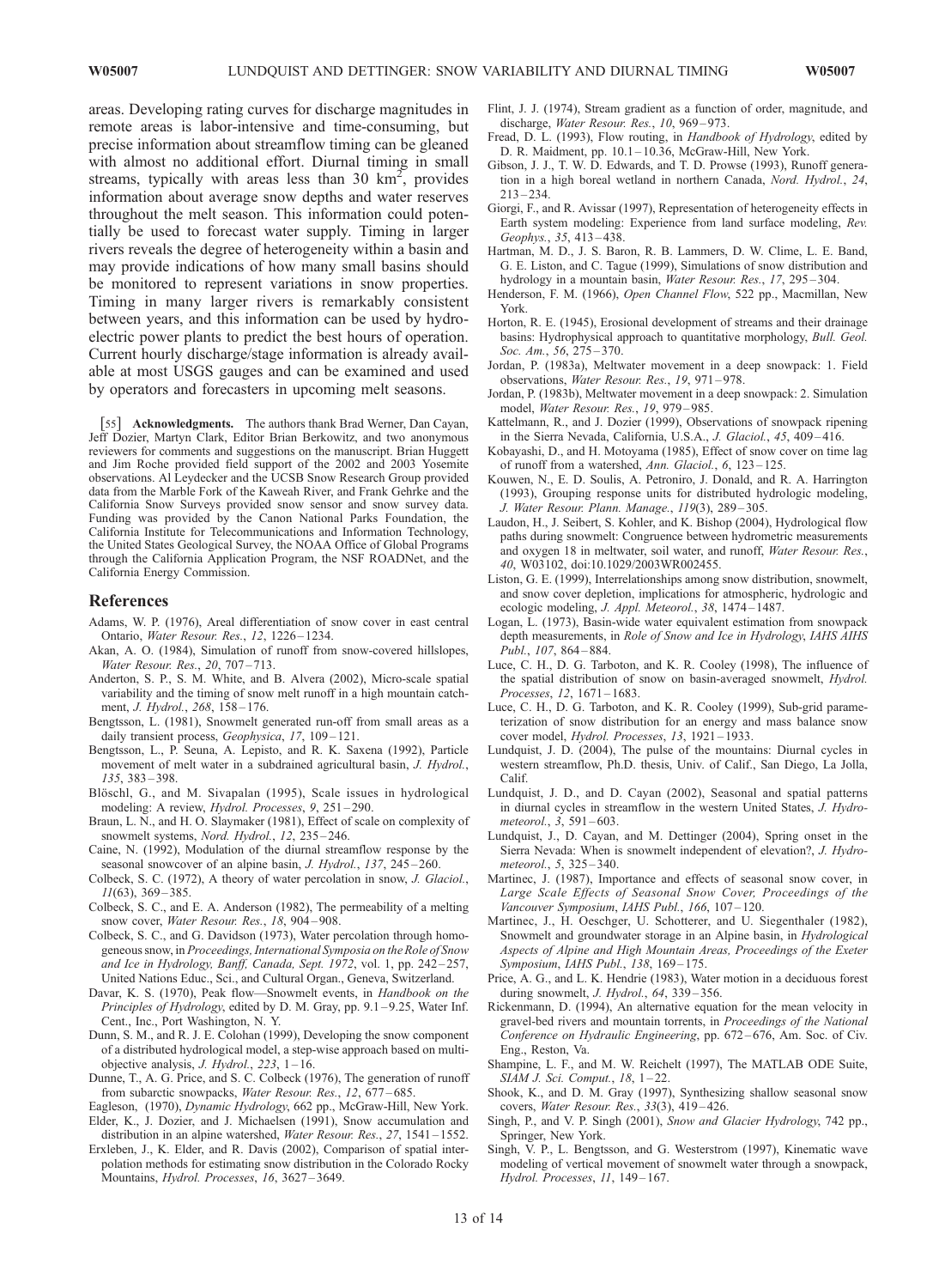areas. Developing rating curves for discharge magnitudes in remote areas is labor-intensive and time-consuming, but precise information about streamflow timing can be gleaned with almost no additional effort. Diurnal timing in small streams, typically with areas less than 30  $\text{km}^2$ , provides information about average snow depths and water reserves throughout the melt season. This information could potentially be used to forecast water supply. Timing in larger rivers reveals the degree of heterogeneity within a basin and may provide indications of how many small basins should be monitored to represent variations in snow properties. Timing in many larger rivers is remarkably consistent between years, and this information can be used by hydroelectric power plants to predict the best hours of operation. Current hourly discharge/stage information is already available at most USGS gauges and can be examined and used by operators and forecasters in upcoming melt seasons.

[55] Acknowledgments. The authors thank Brad Werner, Dan Cayan, Jeff Dozier, Martyn Clark, Editor Brian Berkowitz, and two anonymous reviewers for comments and suggestions on the manuscript. Brian Huggett and Jim Roche provided field support of the 2002 and 2003 Yosemite observations. Al Leydecker and the UCSB Snow Research Group provided data from the Marble Fork of the Kaweah River, and Frank Gehrke and the California Snow Surveys provided snow sensor and snow survey data. Funding was provided by the Canon National Parks Foundation, the California Institute for Telecommunications and Information Technology, the United States Geological Survey, the NOAA Office of Global Programs through the California Application Program, the NSF ROADNet, and the California Energy Commission.

#### References

- Adams, W. P. (1976), Areal differentiation of snow cover in east central Ontario, Water Resour. Res., 12, 1226-1234.
- Akan, A. O. (1984), Simulation of runoff from snow-covered hillslopes, Water Resour. Res., 20, 707 – 713.
- Anderton, S. P., S. M. White, and B. Alvera (2002), Micro-scale spatial variability and the timing of snow melt runoff in a high mountain catchment, J. Hydrol., 268, 158-176.
- Bengtsson, L. (1981), Snowmelt generated run-off from small areas as a daily transient process, Geophysica, 17, 109-121.
- Bengtsson, L., P. Seuna, A. Lepisto, and R. K. Saxena (1992), Particle movement of melt water in a subdrained agricultural basin, J. Hydrol., 135, 383 – 398.
- Blöschl, G., and M. Sivapalan (1995), Scale issues in hydrological modeling: A review, *Hydrol. Processes*, 9, 251-290.
- Braun, L. N., and H. O. Slaymaker (1981), Effect of scale on complexity of snowmelt systems, Nord. Hydrol., 12, 235-246.
- Caine, N. (1992), Modulation of the diurnal streamflow response by the seasonal snowcover of an alpine basin, *J. Hydrol.*, 137, 245–260.
- Colbeck, S. C. (1972), A theory of water percolation in snow, J. Glaciol.,  $11(63)$ , 369-385.
- Colbeck, S. C., and E. A. Anderson (1982), The permeability of a melting snow cover, Water Resour. Res., 18, 904-908.
- Colbeck, S. C., and G. Davidson (1973), Water percolation through homogeneous snow, in Proceedings, International Symposia on the Role of Snow and Ice in Hydrology, Banff, Canada, Sept. 1972, vol. 1, pp. 242-257, United Nations Educ., Sci., and Cultural Organ., Geneva, Switzerland.
- Davar, K. S. (1970), Peak flow—Snowmelt events, in Handbook on the Principles of Hydrology, edited by D. M. Gray, pp. 9.1-9.25, Water Inf. Cent., Inc., Port Washington, N. Y.
- Dunn, S. M., and R. J. E. Colohan (1999), Developing the snow component of a distributed hydrological model, a step-wise approach based on multiobjective analysis, *J. Hydrol.*,  $223$ ,  $1-16$ .
- Dunne, T., A. G. Price, and S. C. Colbeck (1976), The generation of runoff from subarctic snowpacks, Water Resour. Res., 12, 677-685.
- Eagleson, (1970), Dynamic Hydrology, 662 pp., McGraw-Hill, New York. Elder, K., J. Dozier, and J. Michaelsen (1991), Snow accumulation and distribution in an alpine watershed, Water Resour. Res., 27, 1541-1552.
- Erxleben, J., K. Elder, and R. Davis (2002), Comparison of spatial interpolation methods for estimating snow distribution in the Colorado Rocky Mountains, Hydrol. Processes, 16, 3627 – 3649.
- Flint, J. J. (1974), Stream gradient as a function of order, magnitude, and discharge, Water Resour. Res., 10, 969-973.
- Fread, D. L. (1993), Flow routing, in Handbook of Hydrology, edited by D. R. Maidment, pp. 10.1 – 10.36, McGraw-Hill, New York.
- Gibson, J. J., T. W. D. Edwards, and T. D. Prowse (1993), Runoff generation in a high boreal wetland in northern Canada, Nord. Hydrol., 24,  $213 - 234.$
- Giorgi, F., and R. Avissar (1997), Representation of heterogeneity effects in Earth system modeling: Experience from land surface modeling, Rev. Geophys., 35, 413 – 438.
- Hartman, M. D., J. S. Baron, R. B. Lammers, D. W. Clime, L. E. Band, G. E. Liston, and C. Tague (1999), Simulations of snow distribution and hydrology in a mountain basin, Water Resour. Res., 17, 295-304.
- Henderson, F. M. (1966), Open Channel Flow, 522 pp., Macmillan, New York.
- Horton, R. E. (1945), Erosional development of streams and their drainage basins: Hydrophysical approach to quantitative morphology, Bull. Geol. Soc. Am., 56, 275–370.
- Jordan, P. (1983a), Meltwater movement in a deep snowpack: 1. Field observations, Water Resour. Res., 19, 971 – 978.
- Jordan, P. (1983b), Meltwater movement in a deep snowpack: 2. Simulation model, Water Resour. Res., 19, 979 – 985.
- Kattelmann, R., and J. Dozier (1999), Observations of snowpack ripening in the Sierra Nevada, California, U.S.A., J. Glaciol., 45, 409-416.
- Kobayashi, D., and H. Motoyama (1985), Effect of snow cover on time lag of runoff from a watershed, Ann. Glaciol., 6, 123–125.
- Kouwen, N., E. D. Soulis, A. Petroniro, J. Donald, and R. A. Harrington (1993), Grouping response units for distributed hydrologic modeling, J. Water Resour. Plann. Manage., 119(3), 289 – 305.
- Laudon, H., J. Seibert, S. Kohler, and K. Bishop (2004), Hydrological flow paths during snowmelt: Congruence between hydrometric measurements and oxygen 18 in meltwater, soil water, and runoff, Water Resour. Res., 40, W03102, doi:10.1029/2003WR002455.
- Liston, G. E. (1999), Interrelationships among snow distribution, snowmelt, and snow cover depletion, implications for atmospheric, hydrologic and ecologic modeling, J. Appl. Meteorol., 38, 1474-1487.
- Logan, L. (1973), Basin-wide water equivalent estimation from snowpack depth measurements, in Role of Snow and Ice in Hydrology, IAHS AIHS Publ., 107, 864-884.
- Luce, C. H., D. G. Tarboton, and K. R. Cooley (1998), The influence of the spatial distribution of snow on basin-averaged snowmelt, Hydrol. Processes, 12, 1671-1683.
- Luce, C. H., D. G. Tarboton, and K. R. Cooley (1999), Sub-grid parameterization of snow distribution for an energy and mass balance snow cover model, Hydrol. Processes, 13, 1921-1933.
- Lundquist, J. D. (2004), The pulse of the mountains: Diurnal cycles in western streamflow, Ph.D. thesis, Univ. of Calif., San Diego, La Jolla, Calif.
- Lundquist, J. D., and D. Cayan (2002), Seasonal and spatial patterns in diurnal cycles in streamflow in the western United States, J. Hydrometeorol., 3, 591-603.
- Lundquist, J., D. Cayan, and M. Dettinger (2004), Spring onset in the Sierra Nevada: When is snowmelt independent of elevation?, J. Hydrometeorol., 5, 325 – 340.
- Martinec, J. (1987), Importance and effects of seasonal snow cover, in Large Scale Effects of Seasonal Snow Cover, Proceedings of the Vancouver Symposium, IAHS Publ., 166, 107-120.
- Martinec, J., H. Oeschger, U. Schotterer, and U. Siegenthaler (1982), Snowmelt and groundwater storage in an Alpine basin, in Hydrological Aspects of Alpine and High Mountain Areas, Proceedings of the Exeter Symposium, IAHS Publ., 138, 169-175.
- Price, A. G., and L. K. Hendrie (1983), Water motion in a deciduous forest during snowmelt, *J. Hydrol.*, 64, 339-356.
- Rickenmann, D. (1994), An alternative equation for the mean velocity in gravel-bed rivers and mountain torrents, in Proceedings of the National Conference on Hydraulic Engineering, pp. 672-676, Am. Soc. of Civ. Eng., Reston, Va.
- Shampine, L. F., and M. W. Reichelt (1997), The MATLAB ODE Suite, SIAM J. Sci. Comput., 18, 1-22.
- Shook, K., and D. M. Gray (1997), Synthesizing shallow seasonal snow covers, Water Resour. Res., 33(3), 419-426.
- Singh, P., and V. P. Singh (2001), Snow and Glacier Hydrology, 742 pp., Springer, New York.
- Singh, V. P., L. Bengtsson, and G. Westerstrom (1997), Kinematic wave modeling of vertical movement of snowmelt water through a snowpack, Hydrol. Processes, 11, 149-167.